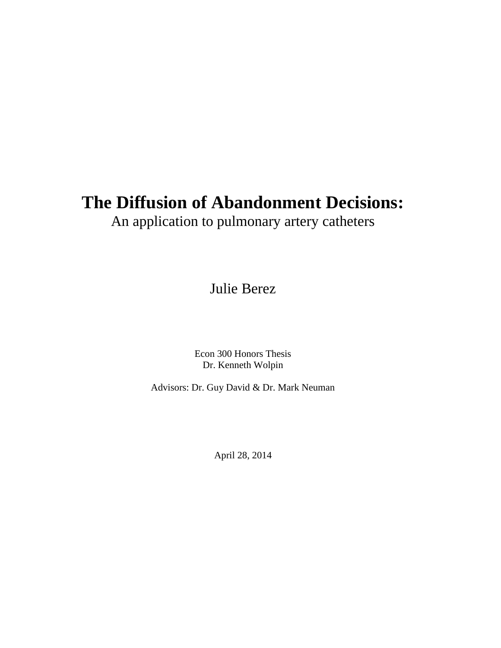# **The Diffusion of Abandonment Decisions:**

An application to pulmonary artery catheters

Julie Berez

Econ 300 Honors Thesis Dr. Kenneth Wolpin

Advisors: Dr. Guy David & Dr. Mark Neuman

April 28, 2014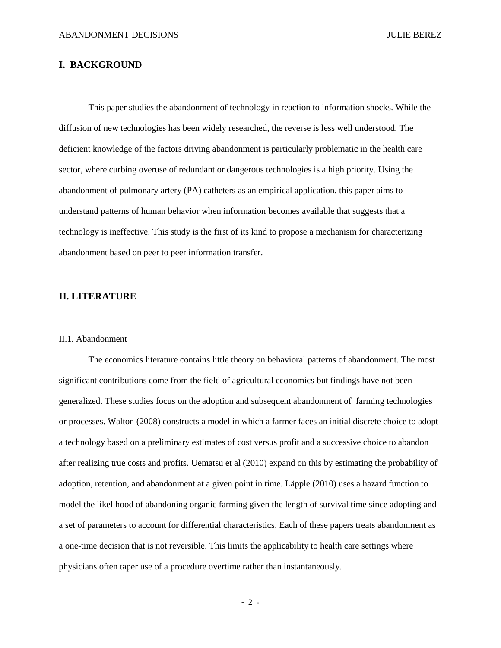#### **I. BACKGROUND**

This paper studies the abandonment of technology in reaction to information shocks. While the diffusion of new technologies has been widely researched, the reverse is less well understood. The deficient knowledge of the factors driving abandonment is particularly problematic in the health care sector, where curbing overuse of redundant or dangerous technologies is a high priority. Using the abandonment of pulmonary artery (PA) catheters as an empirical application, this paper aims to understand patterns of human behavior when information becomes available that suggests that a technology is ineffective. This study is the first of its kind to propose a mechanism for characterizing abandonment based on peer to peer information transfer.

#### **II. LITERATURE**

#### II.1. Abandonment

The economics literature contains little theory on behavioral patterns of abandonment. The most significant contributions come from the field of agricultural economics but findings have not been generalized. These studies focus on the adoption and subsequent abandonment of farming technologies or processes. Walton (2008) constructs a model in which a farmer faces an initial discrete choice to adopt a technology based on a preliminary estimates of cost versus profit and a successive choice to abandon after realizing true costs and profits. Uematsu et al (2010) expand on this by estimating the probability of adoption, retention, and abandonment at a given point in time. Läpple (2010) uses a hazard function to model the likelihood of abandoning organic farming given the length of survival time since adopting and a set of parameters to account for differential characteristics. Each of these papers treats abandonment as a one-time decision that is not reversible. This limits the applicability to health care settings where physicians often taper use of a procedure overtime rather than instantaneously.

- 2 -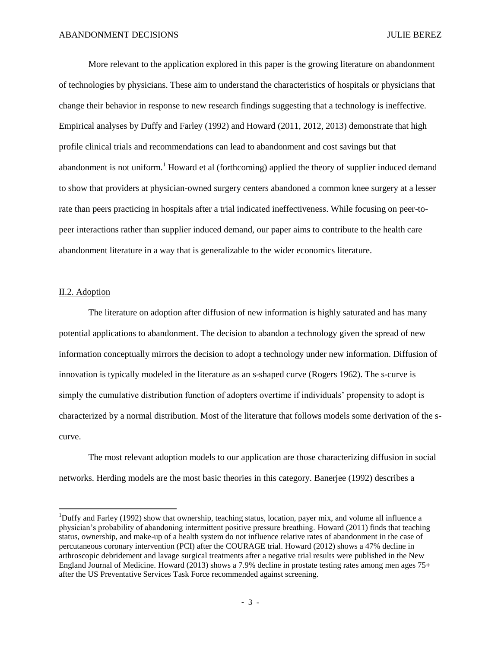More relevant to the application explored in this paper is the growing literature on abandonment of technologies by physicians. These aim to understand the characteristics of hospitals or physicians that change their behavior in response to new research findings suggesting that a technology is ineffective. Empirical analyses by Duffy and Farley (1992) and Howard (2011, 2012, 2013) demonstrate that high profile clinical trials and recommendations can lead to abandonment and cost savings but that abandonment is not uniform.<sup>1</sup> Howard et al (forthcoming) applied the theory of supplier induced demand to show that providers at physician-owned surgery centers abandoned a common knee surgery at a lesser rate than peers practicing in hospitals after a trial indicated ineffectiveness. While focusing on peer-topeer interactions rather than supplier induced demand, our paper aims to contribute to the health care abandonment literature in a way that is generalizable to the wider economics literature.

#### II.2. Adoption

l

The literature on adoption after diffusion of new information is highly saturated and has many potential applications to abandonment. The decision to abandon a technology given the spread of new information conceptually mirrors the decision to adopt a technology under new information. Diffusion of innovation is typically modeled in the literature as an s-shaped curve (Rogers 1962). The s-curve is simply the cumulative distribution function of adopters overtime if individuals' propensity to adopt is characterized by a normal distribution. Most of the literature that follows models some derivation of the scurve.

The most relevant adoption models to our application are those characterizing diffusion in social networks. Herding models are the most basic theories in this category. Banerjee (1992) describes a

<sup>&</sup>lt;sup>1</sup>Duffy and Farley (1992) show that ownership, teaching status, location, payer mix, and volume all influence a physician's probability of abandoning intermittent positive pressure breathing. Howard (2011) finds that teaching status, ownership, and make-up of a health system do not influence relative rates of abandonment in the case of percutaneous coronary intervention (PCI) after the COURAGE trial. Howard (2012) shows a 47% decline in arthroscopic debridement and lavage surgical treatments after a negative trial results were published in the New England Journal of Medicine. Howard (2013) shows a 7.9% decline in prostate testing rates among men ages 75+ after the US Preventative Services Task Force recommended against screening.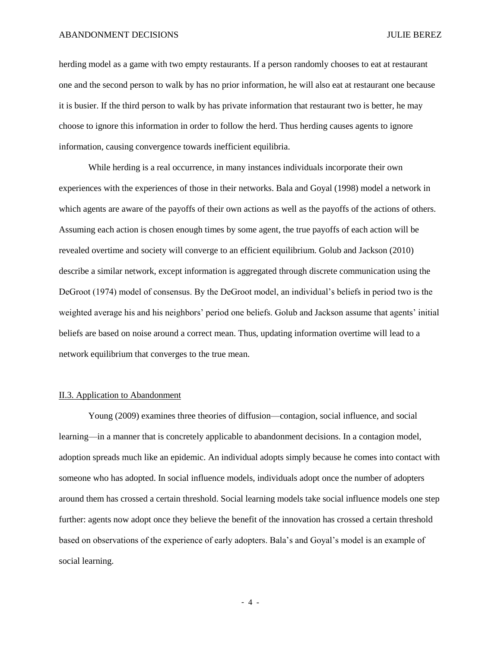herding model as a game with two empty restaurants. If a person randomly chooses to eat at restaurant one and the second person to walk by has no prior information, he will also eat at restaurant one because it is busier. If the third person to walk by has private information that restaurant two is better, he may choose to ignore this information in order to follow the herd. Thus herding causes agents to ignore information, causing convergence towards inefficient equilibria.

While herding is a real occurrence, in many instances individuals incorporate their own experiences with the experiences of those in their networks. Bala and Goyal (1998) model a network in which agents are aware of the payoffs of their own actions as well as the payoffs of the actions of others. Assuming each action is chosen enough times by some agent, the true payoffs of each action will be revealed overtime and society will converge to an efficient equilibrium. Golub and Jackson (2010) describe a similar network, except information is aggregated through discrete communication using the DeGroot (1974) model of consensus. By the DeGroot model, an individual's beliefs in period two is the weighted average his and his neighbors' period one beliefs. Golub and Jackson assume that agents' initial beliefs are based on noise around a correct mean. Thus, updating information overtime will lead to a network equilibrium that converges to the true mean.

#### II.3. Application to Abandonment

Young (2009) examines three theories of diffusion—contagion, social influence, and social learning—in a manner that is concretely applicable to abandonment decisions. In a contagion model, adoption spreads much like an epidemic. An individual adopts simply because he comes into contact with someone who has adopted. In social influence models, individuals adopt once the number of adopters around them has crossed a certain threshold. Social learning models take social influence models one step further: agents now adopt once they believe the benefit of the innovation has crossed a certain threshold based on observations of the experience of early adopters. Bala's and Goyal's model is an example of social learning.

- 4 -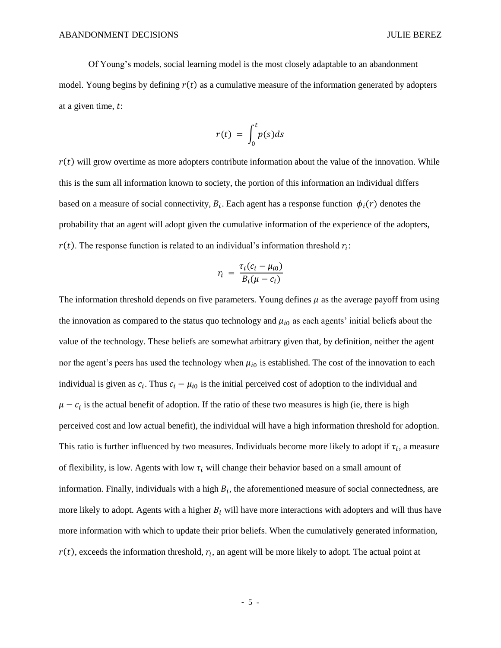Of Young's models, social learning model is the most closely adaptable to an abandonment model. Young begins by defining  $r(t)$  as a cumulative measure of the information generated by adopters at a given time,  $t$ :

$$
r(t) = \int_0^t p(s)ds
$$

 $r(t)$  will grow overtime as more adopters contribute information about the value of the innovation. While this is the sum all information known to society, the portion of this information an individual differs based on a measure of social connectivity,  $B_i$ . Each agent has a response function  $\phi_i(r)$  denotes the probability that an agent will adopt given the cumulative information of the experience of the adopters,  $r(t)$ . The response function is related to an individual's information threshold  $r_i$ :

$$
r_i = \frac{\tau_i (c_i - \mu_{i0})}{B_i (\mu - c_i)}
$$

The information threshold depends on five parameters. Young defines  $\mu$  as the average payoff from using the innovation as compared to the status quo technology and  $\mu_{i0}$  as each agents' initial beliefs about the value of the technology. These beliefs are somewhat arbitrary given that, by definition, neither the agent nor the agent's peers has used the technology when  $\mu_{i0}$  is established. The cost of the innovation to each individual is given as  $c_i$ . Thus  $c_i - \mu_{i0}$  is the initial perceived cost of adoption to the individual and  $\mu - c_i$  is the actual benefit of adoption. If the ratio of these two measures is high (ie, there is high perceived cost and low actual benefit), the individual will have a high information threshold for adoption. This ratio is further influenced by two measures. Individuals become more likely to adopt if  $\tau_i$ , a measure of flexibility, is low. Agents with low  $\tau_i$  will change their behavior based on a small amount of information. Finally, individuals with a high  $B_i$ , the aforementioned measure of social connectedness, are more likely to adopt. Agents with a higher  $B_i$  will have more interactions with adopters and will thus have more information with which to update their prior beliefs. When the cumulatively generated information,  $r(t)$ , exceeds the information threshold,  $r_i$ , an agent will be more likely to adopt. The actual point at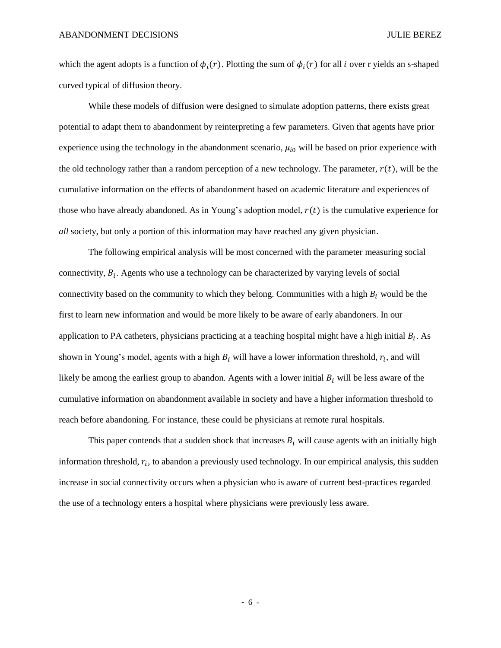which the agent adopts is a function of  $\phi_i(r)$ . Plotting the sum of  $\phi_i(r)$  for all i over r yields an s-shaped curved typical of diffusion theory.

While these models of diffusion were designed to simulate adoption patterns, there exists great potential to adapt them to abandonment by reinterpreting a few parameters. Given that agents have prior experience using the technology in the abandonment scenario,  $\mu_{i0}$  will be based on prior experience with the old technology rather than a random perception of a new technology. The parameter,  $r(t)$ , will be the cumulative information on the effects of abandonment based on academic literature and experiences of those who have already abandoned. As in Young's adoption model,  $r(t)$  is the cumulative experience for *all* society, but only a portion of this information may have reached any given physician.

The following empirical analysis will be most concerned with the parameter measuring social connectivity,  $B_i$ . Agents who use a technology can be characterized by varying levels of social connectivity based on the community to which they belong. Communities with a high  $B_i$  would be the first to learn new information and would be more likely to be aware of early abandoners. In our application to PA catheters, physicians practicing at a teaching hospital might have a high initial  $B_i$ . As shown in Young's model, agents with a high  $B_i$  will have a lower information threshold,  $r_i$ , and will likely be among the earliest group to abandon. Agents with a lower initial  $B_i$  will be less aware of the cumulative information on abandonment available in society and have a higher information threshold to reach before abandoning. For instance, these could be physicians at remote rural hospitals.

This paper contends that a sudden shock that increases  $B_i$  will cause agents with an initially high information threshold,  $r_i$ , to abandon a previously used technology. In our empirical analysis, this sudden increase in social connectivity occurs when a physician who is aware of current best-practices regarded the use of a technology enters a hospital where physicians were previously less aware.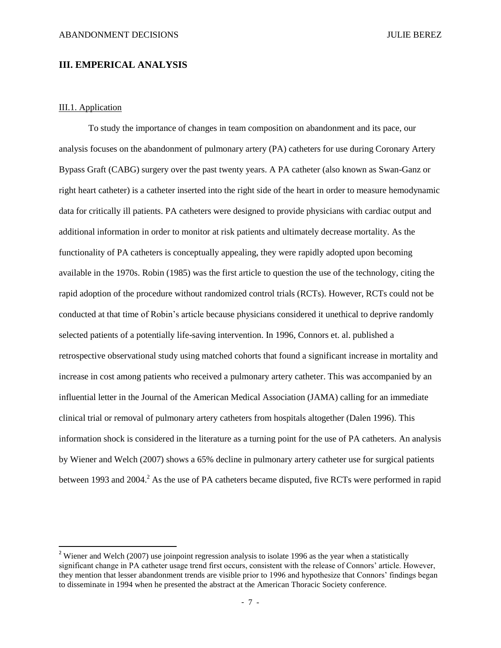### **III. EMPERICAL ANALYSIS**

#### III.1. Application

 $\overline{\phantom{a}}$ 

To study the importance of changes in team composition on abandonment and its pace, our analysis focuses on the abandonment of pulmonary artery (PA) catheters for use during Coronary Artery Bypass Graft (CABG) surgery over the past twenty years. A PA catheter (also known as Swan-Ganz or right heart catheter) is a catheter inserted into the right side of the heart in order to measure hemodynamic data for critically ill patients. PA catheters were designed to provide physicians with cardiac output and additional information in order to monitor at risk patients and ultimately decrease mortality. As the functionality of PA catheters is conceptually appealing, they were rapidly adopted upon becoming available in the 1970s. Robin (1985) was the first article to question the use of the technology, citing the rapid adoption of the procedure without randomized control trials (RCTs). However, RCTs could not be conducted at that time of Robin's article because physicians considered it unethical to deprive randomly selected patients of a potentially life-saving intervention. In 1996, Connors et. al. published a retrospective observational study using matched cohorts that found a significant increase in mortality and increase in cost among patients who received a pulmonary artery catheter. This was accompanied by an influential letter in the Journal of the American Medical Association (JAMA) calling for an immediate clinical trial or removal of pulmonary artery catheters from hospitals altogether (Dalen 1996). This information shock is considered in the literature as a turning point for the use of PA catheters. An analysis by Wiener and Welch (2007) shows a 65% decline in pulmonary artery catheter use for surgical patients between 1993 and 2004.<sup>2</sup> As the use of PA catheters became disputed, five RCTs were performed in rapid

<sup>&</sup>lt;sup>2</sup> Wiener and Welch (2007) use joinpoint regression analysis to isolate 1996 as the year when a statistically significant change in PA catheter usage trend first occurs, consistent with the release of Connors' article. However, they mention that lesser abandonment trends are visible prior to 1996 and hypothesize that Connors' findings began to disseminate in 1994 when he presented the abstract at the American Thoracic Society conference.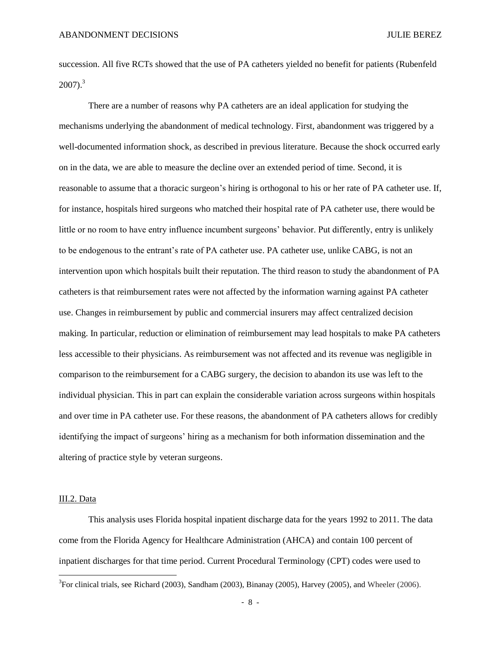succession. All five RCTs showed that the use of PA catheters yielded no benefit for patients (Rubenfeld 2007). 3

There are a number of reasons why PA catheters are an ideal application for studying the mechanisms underlying the abandonment of medical technology. First, abandonment was triggered by a well-documented information shock, as described in previous literature. Because the shock occurred early on in the data, we are able to measure the decline over an extended period of time. Second, it is reasonable to assume that a thoracic surgeon's hiring is orthogonal to his or her rate of PA catheter use. If, for instance, hospitals hired surgeons who matched their hospital rate of PA catheter use, there would be little or no room to have entry influence incumbent surgeons' behavior. Put differently, entry is unlikely to be endogenous to the entrant's rate of PA catheter use. PA catheter use, unlike CABG, is not an intervention upon which hospitals built their reputation. The third reason to study the abandonment of PA catheters is that reimbursement rates were not affected by the information warning against PA catheter use. Changes in reimbursement by public and commercial insurers may affect centralized decision making. In particular, reduction or elimination of reimbursement may lead hospitals to make PA catheters less accessible to their physicians. As reimbursement was not affected and its revenue was negligible in comparison to the reimbursement for a CABG surgery, the decision to abandon its use was left to the individual physician. This in part can explain the considerable variation across surgeons within hospitals and over time in PA catheter use. For these reasons, the abandonment of PA catheters allows for credibly identifying the impact of surgeons' hiring as a mechanism for both information dissemination and the altering of practice style by veteran surgeons.

#### III.2. Data

This analysis uses Florida hospital inpatient discharge data for the years 1992 to 2011. The data come from the Florida Agency for Healthcare Administration (AHCA) and contain 100 percent of inpatient discharges for that time period. Current Procedural Terminology (CPT) codes were used to  $\overline{\phantom{a}}$ 

- 8 -

 ${}^{3}$ For clinical trials, see Richard (2003), Sandham (2003), Binanay (2005), Harvey (2005), and Wheeler (2006).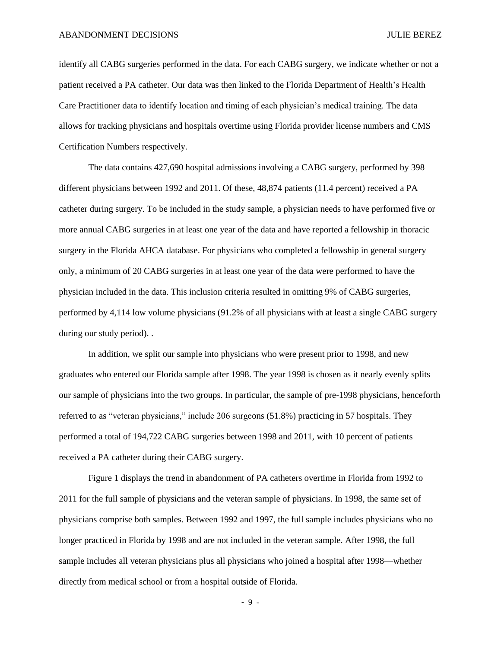identify all CABG surgeries performed in the data. For each CABG surgery, we indicate whether or not a patient received a PA catheter. Our data was then linked to the Florida Department of Health's Health Care Practitioner data to identify location and timing of each physician's medical training. The data allows for tracking physicians and hospitals overtime using Florida provider license numbers and CMS Certification Numbers respectively.

The data contains 427,690 hospital admissions involving a CABG surgery, performed by 398 different physicians between 1992 and 2011. Of these, 48,874 patients (11.4 percent) received a PA catheter during surgery. To be included in the study sample, a physician needs to have performed five or more annual CABG surgeries in at least one year of the data and have reported a fellowship in thoracic surgery in the Florida AHCA database. For physicians who completed a fellowship in general surgery only, a minimum of 20 CABG surgeries in at least one year of the data were performed to have the physician included in the data. This inclusion criteria resulted in omitting 9% of CABG surgeries, performed by 4,114 low volume physicians (91.2% of all physicians with at least a single CABG surgery during our study period). .

In addition, we split our sample into physicians who were present prior to 1998, and new graduates who entered our Florida sample after 1998. The year 1998 is chosen as it nearly evenly splits our sample of physicians into the two groups. In particular, the sample of pre-1998 physicians, henceforth referred to as "veteran physicians," include 206 surgeons (51.8%) practicing in 57 hospitals. They performed a total of 194,722 CABG surgeries between 1998 and 2011, with 10 percent of patients received a PA catheter during their CABG surgery.

Figure 1 displays the trend in abandonment of PA catheters overtime in Florida from 1992 to 2011 for the full sample of physicians and the veteran sample of physicians. In 1998, the same set of physicians comprise both samples. Between 1992 and 1997, the full sample includes physicians who no longer practiced in Florida by 1998 and are not included in the veteran sample. After 1998, the full sample includes all veteran physicians plus all physicians who joined a hospital after 1998—whether directly from medical school or from a hospital outside of Florida.

- 9 -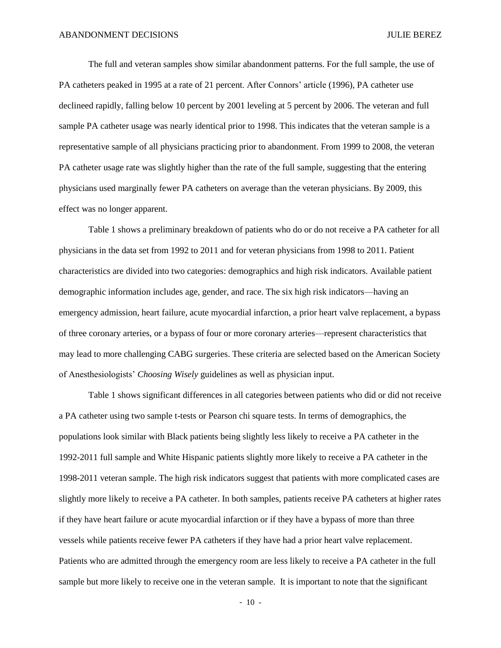The full and veteran samples show similar abandonment patterns. For the full sample, the use of PA catheters peaked in 1995 at a rate of 21 percent. After Connors' article (1996), PA catheter use declineed rapidly, falling below 10 percent by 2001 leveling at 5 percent by 2006. The veteran and full sample PA catheter usage was nearly identical prior to 1998. This indicates that the veteran sample is a representative sample of all physicians practicing prior to abandonment. From 1999 to 2008, the veteran PA catheter usage rate was slightly higher than the rate of the full sample, suggesting that the entering physicians used marginally fewer PA catheters on average than the veteran physicians. By 2009, this effect was no longer apparent.

Table 1 shows a preliminary breakdown of patients who do or do not receive a PA catheter for all physicians in the data set from 1992 to 2011 and for veteran physicians from 1998 to 2011. Patient characteristics are divided into two categories: demographics and high risk indicators. Available patient demographic information includes age, gender, and race. The six high risk indicators—having an emergency admission, heart failure, acute myocardial infarction, a prior heart valve replacement, a bypass of three coronary arteries, or a bypass of four or more coronary arteries—represent characteristics that may lead to more challenging CABG surgeries. These criteria are selected based on the American Society of Anesthesiologists' *Choosing Wisely* guidelines as well as physician input.

Table 1 shows significant differences in all categories between patients who did or did not receive a PA catheter using two sample t-tests or Pearson chi square tests. In terms of demographics, the populations look similar with Black patients being slightly less likely to receive a PA catheter in the 1992-2011 full sample and White Hispanic patients slightly more likely to receive a PA catheter in the 1998-2011 veteran sample. The high risk indicators suggest that patients with more complicated cases are slightly more likely to receive a PA catheter. In both samples, patients receive PA catheters at higher rates if they have heart failure or acute myocardial infarction or if they have a bypass of more than three vessels while patients receive fewer PA catheters if they have had a prior heart valve replacement. Patients who are admitted through the emergency room are less likely to receive a PA catheter in the full sample but more likely to receive one in the veteran sample. It is important to note that the significant

- 10 -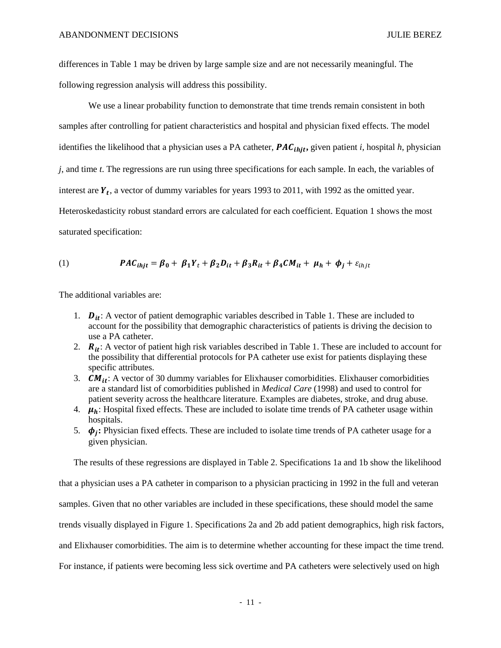differences in Table 1 may be driven by large sample size and are not necessarily meaningful. The following regression analysis will address this possibility.

We use a linear probability function to demonstrate that time trends remain consistent in both samples after controlling for patient characteristics and hospital and physician fixed effects. The model identifies the likelihood that a physician uses a PA catheter,  $PAC<sub>ihit</sub>$ , given patient *i*, hospital *h*, physician *j*, and time *t*. The regressions are run using three specifications for each sample. In each, the variables of interest are  $Y_t$ , a vector of dummy variables for years 1993 to 2011, with 1992 as the omitted year. Heteroskedasticity robust standard errors are calculated for each coefficient. Equation 1 shows the most saturated specification:

(1) 
$$
PAC_{i\hat{i}i\hat{i}j} = \beta_0 + \beta_1 Y_t + \beta_2 D_{it} + \beta_3 R_{it} + \beta_4 C M_{it} + \mu_h + \phi_i + \varepsilon_{i\hat{i}j\hat{i}k}
$$

The additional variables are:

- 1.  $\mathbf{D}_{it}$ : A vector of patient demographic variables described in Table 1. These are included to account for the possibility that demographic characteristics of patients is driving the decision to use a PA catheter.
- 2.  $\mathbf{R}_{it}$ : A vector of patient high risk variables described in Table 1. These are included to account for the possibility that differential protocols for PA catheter use exist for patients displaying these specific attributes.
- 3.  $CM_{it}$ : A vector of 30 dummy variables for Elixhauser comorbidities. Elixhauser comorbidities are a standard list of comorbidities published in *Medical Care* (1998) and used to control for patient severity across the healthcare literature. Examples are diabetes, stroke, and drug abuse.
- 4.  $\mu_h$ : Hospital fixed effects. These are included to isolate time trends of PA catheter usage within hospitals.
- 5.  $\phi_i$ : Physician fixed effects. These are included to isolate time trends of PA catheter usage for a given physician.

The results of these regressions are displayed in Table 2. Specifications 1a and 1b show the likelihood

that a physician uses a PA catheter in comparison to a physician practicing in 1992 in the full and veteran samples. Given that no other variables are included in these specifications, these should model the same trends visually displayed in Figure 1. Specifications 2a and 2b add patient demographics, high risk factors, and Elixhauser comorbidities. The aim is to determine whether accounting for these impact the time trend. For instance, if patients were becoming less sick overtime and PA catheters were selectively used on high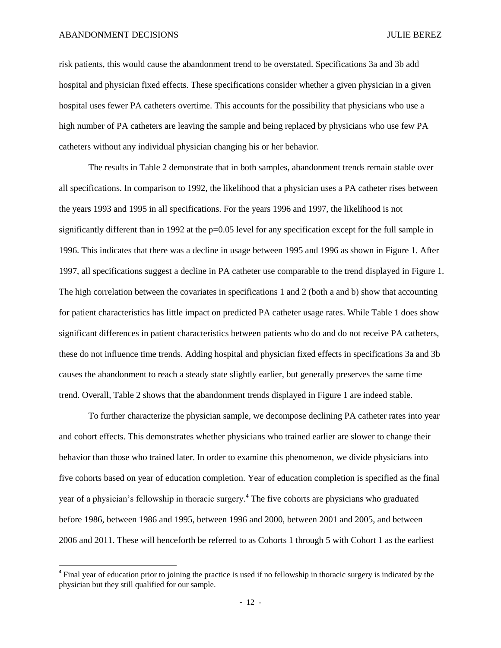l

risk patients, this would cause the abandonment trend to be overstated. Specifications 3a and 3b add hospital and physician fixed effects. These specifications consider whether a given physician in a given hospital uses fewer PA catheters overtime. This accounts for the possibility that physicians who use a high number of PA catheters are leaving the sample and being replaced by physicians who use few PA catheters without any individual physician changing his or her behavior.

The results in Table 2 demonstrate that in both samples, abandonment trends remain stable over all specifications. In comparison to 1992, the likelihood that a physician uses a PA catheter rises between the years 1993 and 1995 in all specifications. For the years 1996 and 1997, the likelihood is not significantly different than in 1992 at the p=0.05 level for any specification except for the full sample in 1996. This indicates that there was a decline in usage between 1995 and 1996 as shown in Figure 1. After 1997, all specifications suggest a decline in PA catheter use comparable to the trend displayed in Figure 1. The high correlation between the covariates in specifications 1 and 2 (both a and b) show that accounting for patient characteristics has little impact on predicted PA catheter usage rates. While Table 1 does show significant differences in patient characteristics between patients who do and do not receive PA catheters, these do not influence time trends. Adding hospital and physician fixed effects in specifications 3a and 3b causes the abandonment to reach a steady state slightly earlier, but generally preserves the same time trend. Overall, Table 2 shows that the abandonment trends displayed in Figure 1 are indeed stable.

To further characterize the physician sample, we decompose declining PA catheter rates into year and cohort effects. This demonstrates whether physicians who trained earlier are slower to change their behavior than those who trained later. In order to examine this phenomenon, we divide physicians into five cohorts based on year of education completion. Year of education completion is specified as the final year of a physician's fellowship in thoracic surgery. <sup>4</sup> The five cohorts are physicians who graduated before 1986, between 1986 and 1995, between 1996 and 2000, between 2001 and 2005, and between 2006 and 2011. These will henceforth be referred to as Cohorts 1 through 5 with Cohort 1 as the earliest

<sup>&</sup>lt;sup>4</sup> Final year of education prior to joining the practice is used if no fellowship in thoracic surgery is indicated by the physician but they still qualified for our sample.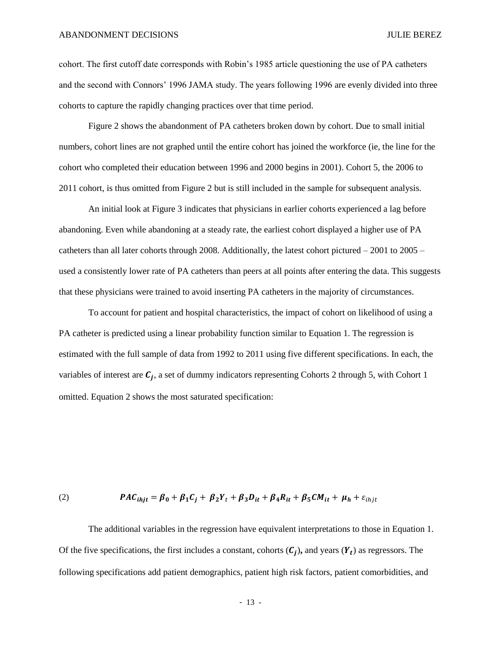cohort. The first cutoff date corresponds with Robin's 1985 article questioning the use of PA catheters and the second with Connors' 1996 JAMA study. The years following 1996 are evenly divided into three cohorts to capture the rapidly changing practices over that time period.

Figure 2 shows the abandonment of PA catheters broken down by cohort. Due to small initial numbers, cohort lines are not graphed until the entire cohort has joined the workforce (ie, the line for the cohort who completed their education between 1996 and 2000 begins in 2001). Cohort 5, the 2006 to 2011 cohort, is thus omitted from Figure 2 but is still included in the sample for subsequent analysis.

An initial look at Figure 3 indicates that physicians in earlier cohorts experienced a lag before abandoning. Even while abandoning at a steady rate, the earliest cohort displayed a higher use of PA catheters than all later cohorts through 2008. Additionally, the latest cohort pictured  $-2001$  to  $2005$ used a consistently lower rate of PA catheters than peers at all points after entering the data. This suggests that these physicians were trained to avoid inserting PA catheters in the majority of circumstances.

To account for patient and hospital characteristics, the impact of cohort on likelihood of using a PA catheter is predicted using a linear probability function similar to Equation 1. The regression is estimated with the full sample of data from 1992 to 2011 using five different specifications. In each, the variables of interest are  $C_i$ , a set of dummy indicators representing Cohorts 2 through 5, with Cohort 1 omitted. Equation 2 shows the most saturated specification:

(2) 
$$
PAC_{i h j t} = \beta_0 + \beta_1 C_j + \beta_2 Y_t + \beta_3 D_{it} + \beta_4 R_{it} + \beta_5 C M_{it} + \mu_h + \varepsilon_{i h j t}
$$

The additional variables in the regression have equivalent interpretations to those in Equation 1. Of the five specifications, the first includes a constant, cohorts  $(C_i)$ , and years  $(Y_t)$  as regressors. The following specifications add patient demographics, patient high risk factors, patient comorbidities, and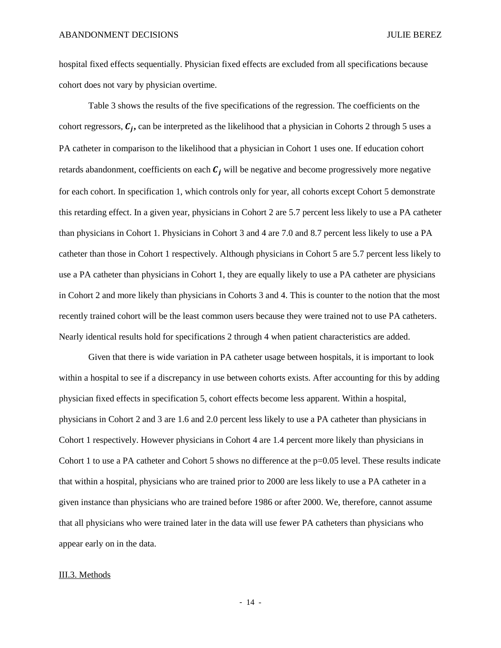hospital fixed effects sequentially. Physician fixed effects are excluded from all specifications because cohort does not vary by physician overtime.

Table 3 shows the results of the five specifications of the regression. The coefficients on the cohort regressors,  $C_i$ , can be interpreted as the likelihood that a physician in Cohorts 2 through 5 uses a PA catheter in comparison to the likelihood that a physician in Cohort 1 uses one. If education cohort retards abandonment, coefficients on each  $C_i$  will be negative and become progressively more negative for each cohort. In specification 1, which controls only for year, all cohorts except Cohort 5 demonstrate this retarding effect. In a given year, physicians in Cohort 2 are 5.7 percent less likely to use a PA catheter than physicians in Cohort 1. Physicians in Cohort 3 and 4 are 7.0 and 8.7 percent less likely to use a PA catheter than those in Cohort 1 respectively. Although physicians in Cohort 5 are 5.7 percent less likely to use a PA catheter than physicians in Cohort 1, they are equally likely to use a PA catheter are physicians in Cohort 2 and more likely than physicians in Cohorts 3 and 4. This is counter to the notion that the most recently trained cohort will be the least common users because they were trained not to use PA catheters. Nearly identical results hold for specifications 2 through 4 when patient characteristics are added.

Given that there is wide variation in PA catheter usage between hospitals, it is important to look within a hospital to see if a discrepancy in use between cohorts exists. After accounting for this by adding physician fixed effects in specification 5, cohort effects become less apparent. Within a hospital, physicians in Cohort 2 and 3 are 1.6 and 2.0 percent less likely to use a PA catheter than physicians in Cohort 1 respectively. However physicians in Cohort 4 are 1.4 percent more likely than physicians in Cohort 1 to use a PA catheter and Cohort 5 shows no difference at the  $p=0.05$  level. These results indicate that within a hospital, physicians who are trained prior to 2000 are less likely to use a PA catheter in a given instance than physicians who are trained before 1986 or after 2000. We, therefore, cannot assume that all physicians who were trained later in the data will use fewer PA catheters than physicians who appear early on in the data.

#### III.3. Methods

- 14 -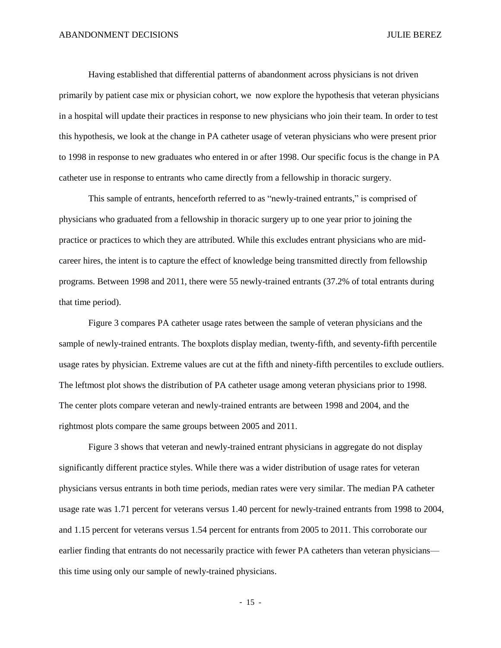Having established that differential patterns of abandonment across physicians is not driven primarily by patient case mix or physician cohort, we now explore the hypothesis that veteran physicians in a hospital will update their practices in response to new physicians who join their team. In order to test this hypothesis, we look at the change in PA catheter usage of veteran physicians who were present prior to 1998 in response to new graduates who entered in or after 1998. Our specific focus is the change in PA catheter use in response to entrants who came directly from a fellowship in thoracic surgery.

This sample of entrants, henceforth referred to as "newly-trained entrants," is comprised of physicians who graduated from a fellowship in thoracic surgery up to one year prior to joining the practice or practices to which they are attributed. While this excludes entrant physicians who are midcareer hires, the intent is to capture the effect of knowledge being transmitted directly from fellowship programs. Between 1998 and 2011, there were 55 newly-trained entrants (37.2% of total entrants during that time period).

Figure 3 compares PA catheter usage rates between the sample of veteran physicians and the sample of newly-trained entrants. The boxplots display median, twenty-fifth, and seventy-fifth percentile usage rates by physician. Extreme values are cut at the fifth and ninety-fifth percentiles to exclude outliers. The leftmost plot shows the distribution of PA catheter usage among veteran physicians prior to 1998. The center plots compare veteran and newly-trained entrants are between 1998 and 2004, and the rightmost plots compare the same groups between 2005 and 2011.

Figure 3 shows that veteran and newly-trained entrant physicians in aggregate do not display significantly different practice styles. While there was a wider distribution of usage rates for veteran physicians versus entrants in both time periods, median rates were very similar. The median PA catheter usage rate was 1.71 percent for veterans versus 1.40 percent for newly-trained entrants from 1998 to 2004, and 1.15 percent for veterans versus 1.54 percent for entrants from 2005 to 2011. This corroborate our earlier finding that entrants do not necessarily practice with fewer PA catheters than veteran physicians this time using only our sample of newly-trained physicians.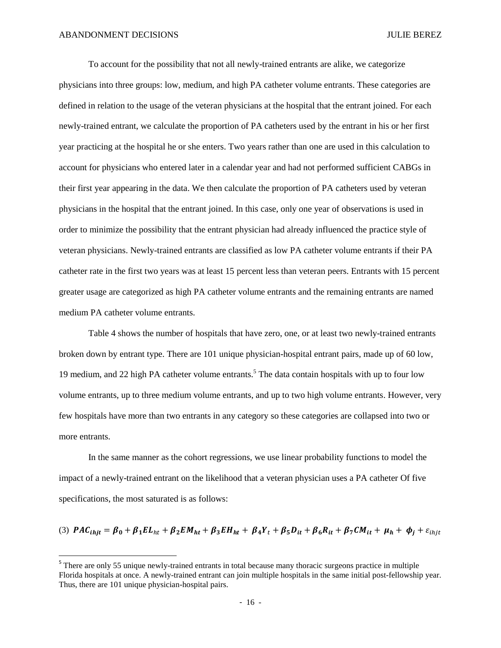$\overline{\phantom{a}}$ 

To account for the possibility that not all newly-trained entrants are alike, we categorize physicians into three groups: low, medium, and high PA catheter volume entrants. These categories are defined in relation to the usage of the veteran physicians at the hospital that the entrant joined. For each newly-trained entrant, we calculate the proportion of PA catheters used by the entrant in his or her first year practicing at the hospital he or she enters. Two years rather than one are used in this calculation to account for physicians who entered later in a calendar year and had not performed sufficient CABGs in their first year appearing in the data. We then calculate the proportion of PA catheters used by veteran physicians in the hospital that the entrant joined. In this case, only one year of observations is used in order to minimize the possibility that the entrant physician had already influenced the practice style of veteran physicians. Newly-trained entrants are classified as low PA catheter volume entrants if their PA catheter rate in the first two years was at least 15 percent less than veteran peers. Entrants with 15 percent greater usage are categorized as high PA catheter volume entrants and the remaining entrants are named medium PA catheter volume entrants.

Table 4 shows the number of hospitals that have zero, one, or at least two newly-trained entrants broken down by entrant type. There are 101 unique physician-hospital entrant pairs, made up of 60 low, 19 medium, and 22 high PA catheter volume entrants.<sup>5</sup> The data contain hospitals with up to four low volume entrants, up to three medium volume entrants, and up to two high volume entrants. However, very few hospitals have more than two entrants in any category so these categories are collapsed into two or more entrants.

In the same manner as the cohort regressions, we use linear probability functions to model the impact of a newly-trained entrant on the likelihood that a veteran physician uses a PA catheter Of five specifications, the most saturated is as follows:

(3) 
$$
PAC_{ihjt} = \beta_0 + \beta_1 EL_{ht} + \beta_2 EM_{ht} + \beta_3 EH_{ht} + \beta_4 Y_t + \beta_5 D_{it} + \beta_6 R_{it} + \beta_7 CM_{it} + \mu_h + \phi_j + \varepsilon_{ihjt}
$$

<sup>&</sup>lt;sup>5</sup> There are only 55 unique newly-trained entrants in total because many thoracic surgeons practice in multiple Florida hospitals at once. A newly-trained entrant can join multiple hospitals in the same initial post-fellowship year. Thus, there are 101 unique physician-hospital pairs.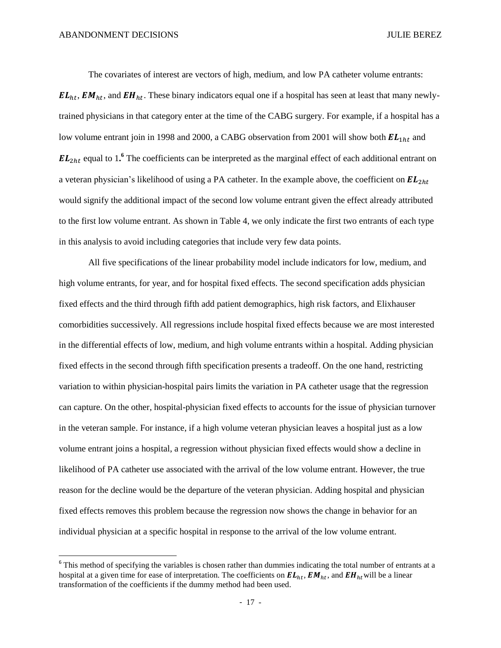$\overline{\phantom{a}}$ 

The covariates of interest are vectors of high, medium, and low PA catheter volume entrants:

 $EL_{ht}$ ,  $EM_{ht}$ , and  $EH_{ht}$ . These binary indicators equal one if a hospital has seen at least that many newlytrained physicians in that category enter at the time of the CABG surgery. For example, if a hospital has a low volume entrant join in 1998 and 2000, a CABG observation from 2001 will show both  $EL_{1ht}$  and  $EL_{2ht}$  equal to 1.<sup>6</sup> The coefficients can be interpreted as the marginal effect of each additional entrant on a veteran physician's likelihood of using a PA catheter. In the example above, the coefficient on  $EL<sub>2ht</sub>$ would signify the additional impact of the second low volume entrant given the effect already attributed to the first low volume entrant. As shown in Table 4, we only indicate the first two entrants of each type in this analysis to avoid including categories that include very few data points.

All five specifications of the linear probability model include indicators for low, medium, and high volume entrants, for year, and for hospital fixed effects. The second specification adds physician fixed effects and the third through fifth add patient demographics, high risk factors, and Elixhauser comorbidities successively. All regressions include hospital fixed effects because we are most interested in the differential effects of low, medium, and high volume entrants within a hospital. Adding physician fixed effects in the second through fifth specification presents a tradeoff. On the one hand, restricting variation to within physician-hospital pairs limits the variation in PA catheter usage that the regression can capture. On the other, hospital-physician fixed effects to accounts for the issue of physician turnover in the veteran sample. For instance, if a high volume veteran physician leaves a hospital just as a low volume entrant joins a hospital, a regression without physician fixed effects would show a decline in likelihood of PA catheter use associated with the arrival of the low volume entrant. However, the true reason for the decline would be the departure of the veteran physician. Adding hospital and physician fixed effects removes this problem because the regression now shows the change in behavior for an individual physician at a specific hospital in response to the arrival of the low volume entrant.

 $6$  This method of specifying the variables is chosen rather than dummies indicating the total number of entrants at a hospital at a given time for ease of interpretation. The coefficients on  $EL_{ht}$ ,  $EM_{ht}$ , and  $EH_{ht}$  will be a linear transformation of the coefficients if the dummy method had been used.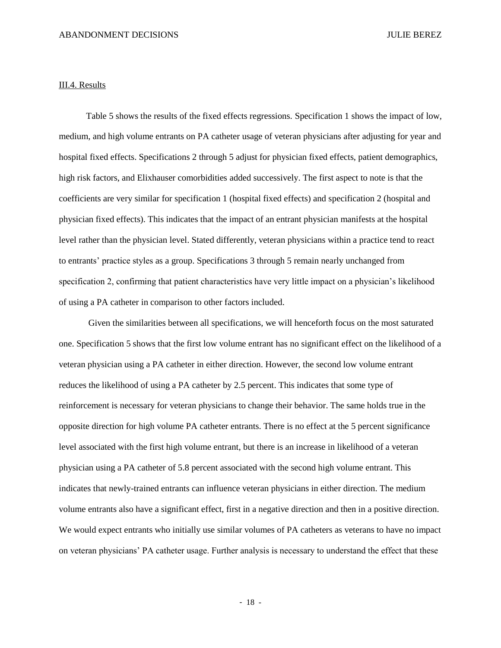#### III.4. Results

Table 5 shows the results of the fixed effects regressions. Specification 1 shows the impact of low, medium, and high volume entrants on PA catheter usage of veteran physicians after adjusting for year and hospital fixed effects. Specifications 2 through 5 adjust for physician fixed effects, patient demographics, high risk factors, and Elixhauser comorbidities added successively. The first aspect to note is that the coefficients are very similar for specification 1 (hospital fixed effects) and specification 2 (hospital and physician fixed effects). This indicates that the impact of an entrant physician manifests at the hospital level rather than the physician level. Stated differently, veteran physicians within a practice tend to react to entrants' practice styles as a group. Specifications 3 through 5 remain nearly unchanged from specification 2, confirming that patient characteristics have very little impact on a physician's likelihood of using a PA catheter in comparison to other factors included.

Given the similarities between all specifications, we will henceforth focus on the most saturated one. Specification 5 shows that the first low volume entrant has no significant effect on the likelihood of a veteran physician using a PA catheter in either direction. However, the second low volume entrant reduces the likelihood of using a PA catheter by 2.5 percent. This indicates that some type of reinforcement is necessary for veteran physicians to change their behavior. The same holds true in the opposite direction for high volume PA catheter entrants. There is no effect at the 5 percent significance level associated with the first high volume entrant, but there is an increase in likelihood of a veteran physician using a PA catheter of 5.8 percent associated with the second high volume entrant. This indicates that newly-trained entrants can influence veteran physicians in either direction. The medium volume entrants also have a significant effect, first in a negative direction and then in a positive direction. We would expect entrants who initially use similar volumes of PA catheters as veterans to have no impact on veteran physicians' PA catheter usage. Further analysis is necessary to understand the effect that these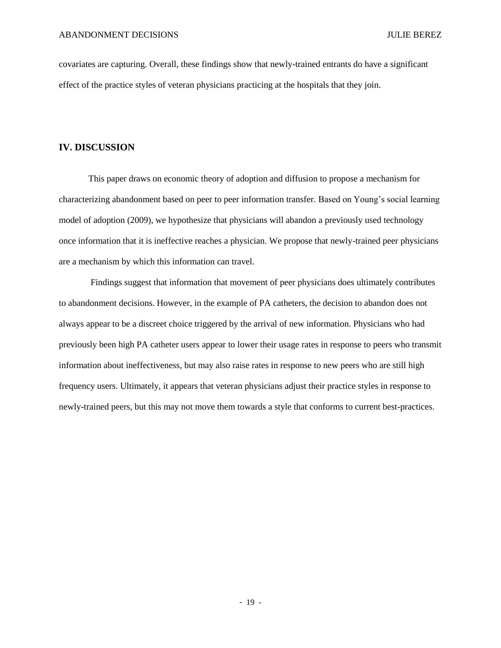covariates are capturing. Overall, these findings show that newly-trained entrants do have a significant effect of the practice styles of veteran physicians practicing at the hospitals that they join.

#### **IV. DISCUSSION**

This paper draws on economic theory of adoption and diffusion to propose a mechanism for characterizing abandonment based on peer to peer information transfer. Based on Young's social learning model of adoption (2009), we hypothesize that physicians will abandon a previously used technology once information that it is ineffective reaches a physician. We propose that newly-trained peer physicians are a mechanism by which this information can travel.

Findings suggest that information that movement of peer physicians does ultimately contributes to abandonment decisions. However, in the example of PA catheters, the decision to abandon does not always appear to be a discreet choice triggered by the arrival of new information. Physicians who had previously been high PA catheter users appear to lower their usage rates in response to peers who transmit information about ineffectiveness, but may also raise rates in response to new peers who are still high frequency users. Ultimately, it appears that veteran physicians adjust their practice styles in response to newly-trained peers, but this may not move them towards a style that conforms to current best-practices.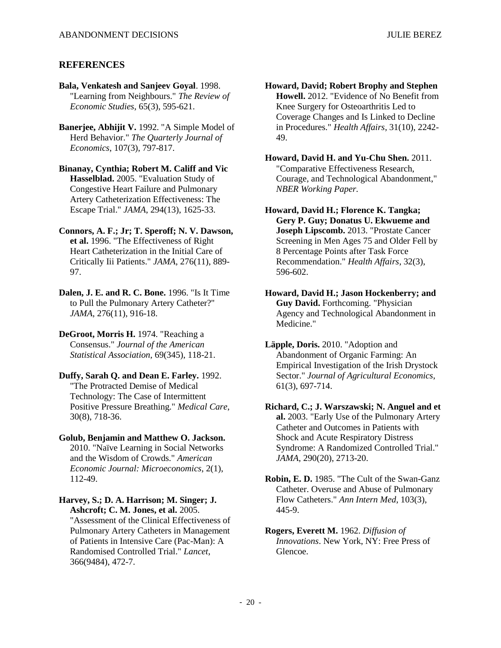## **REFERENCES**

- **Bala, Venkatesh and Sanjeev Goyal**. 1998. "Learning from Neighbours." *The Review of Economic Studies*, 65(3), 595-621.
- **Banerjee, Abhijit V.** 1992. "A Simple Model of Herd Behavior." *The Quarterly Journal of Economics*, 107(3), 797-817.

**Binanay, Cynthia; Robert M. Califf and Vic Hasselblad.** 2005. "Evaluation Study of Congestive Heart Failure and Pulmonary Artery Catheterization Effectiveness: The Escape Trial." *JAMA*, 294(13), 1625-33.

**Connors, A. F.; Jr; T. Speroff; N. V. Dawson, et al.** 1996. "The Effectiveness of Right Heart Catheterization in the Initial Care of Critically Iii Patients." *JAMA*, 276(11), 889- 97.

**Dalen, J. E. and R. C. Bone.** 1996. "Is It Time to Pull the Pulmonary Artery Catheter?" *JAMA*, 276(11), 916-18.

**DeGroot, Morris H.** 1974. "Reaching a Consensus." *Journal of the American Statistical Association*, 69(345), 118-21.

**Duffy, Sarah Q. and Dean E. Farley.** 1992. "The Protracted Demise of Medical Technology: The Case of Intermittent Positive Pressure Breathing." *Medical Care*, 30(8), 718-36.

**Golub, Benjamin and Matthew O. Jackson.** 2010. "Naïve Learning in Social Networks and the Wisdom of Crowds." *American Economic Journal: Microeconomics*, 2(1), 112-49.

**Harvey, S.; D. A. Harrison; M. Singer; J. Ashcroft; C. M. Jones, et al.** 2005. "Assessment of the Clinical Effectiveness of Pulmonary Artery Catheters in Management of Patients in Intensive Care (Pac-Man): A Randomised Controlled Trial." *Lancet*, 366(9484), 472-7.

**Howard, David; Robert Brophy and Stephen Howell.** 2012. "Evidence of No Benefit from Knee Surgery for Osteoarthritis Led to Coverage Changes and Is Linked to Decline in Procedures." *Health Affairs*, 31(10), 2242- 49.

**Howard, David H. and Yu-Chu Shen.** 2011. "Comparative Effectiveness Research, Courage, and Technological Abandonment," *NBER Working Paper.* 

**Howard, David H.; Florence K. Tangka; Gery P. Guy; Donatus U. Ekwueme and Joseph Lipscomb.** 2013. "Prostate Cancer Screening in Men Ages 75 and Older Fell by 8 Percentage Points after Task Force Recommendation." *Health Affairs*, 32(3), 596-602.

**Howard, David H.; Jason Hockenberry; and Guy David.** Forthcoming. "Physician Agency and Technological Abandonment in Medicine."

**Läpple, Doris.** 2010. "Adoption and Abandonment of Organic Farming: An Empirical Investigation of the Irish Drystock Sector." *Journal of Agricultural Economics*, 61(3), 697-714.

**Richard, C.; J. Warszawski; N. Anguel and et al.** 2003. "Early Use of the Pulmonary Artery Catheter and Outcomes in Patients with Shock and Acute Respiratory Distress Syndrome: A Randomized Controlled Trial." *JAMA*, 290(20), 2713-20.

**Robin, E. D.** 1985. "The Cult of the Swan-Ganz Catheter. Overuse and Abuse of Pulmonary Flow Catheters." *Ann Intern Med*, 103(3), 445-9.

**Rogers, Everett M.** 1962. *Diffusion of Innovations*. New York, NY: Free Press of Glencoe.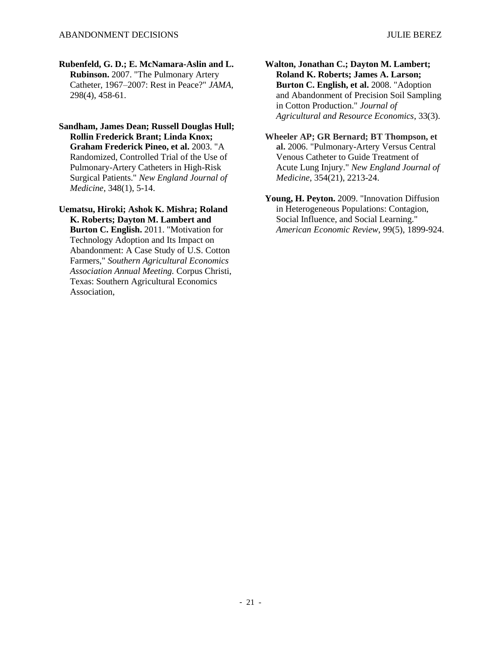**Rubenfeld, G. D.; E. McNamara-Aslin and L. Rubinson.** 2007. "The Pulmonary Artery Catheter, 1967–2007: Rest in Peace?" *JAMA*, 298(4), 458-61.

**Sandham, James Dean; Russell Douglas Hull; Rollin Frederick Brant; Linda Knox; Graham Frederick Pineo, et al.** 2003. "A Randomized, Controlled Trial of the Use of Pulmonary-Artery Catheters in High-Risk Surgical Patients." *New England Journal of Medicine*, 348(1), 5-14.

**Uematsu, Hiroki; Ashok K. Mishra; Roland K. Roberts; Dayton M. Lambert and Burton C. English.** 2011. "Motivation for Technology Adoption and Its Impact on Abandonment: A Case Study of U.S. Cotton Farmers," *Southern Agricultural Economics Association Annual Meeting.* Corpus Christi, Texas: Southern Agricultural Economics Association,

**Walton, Jonathan C.; Dayton M. Lambert; Roland K. Roberts; James A. Larson; Burton C. English, et al.** 2008. "Adoption and Abandonment of Precision Soil Sampling in Cotton Production." *Journal of Agricultural and Resource Economics*, 33(3).

**Wheeler AP; GR Bernard; BT Thompson, et al.** 2006. "Pulmonary-Artery Versus Central Venous Catheter to Guide Treatment of Acute Lung Injury." *New England Journal of Medicine*, 354(21), 2213-24.

**Young, H. Peyton.** 2009. "Innovation Diffusion in Heterogeneous Populations: Contagion, Social Influence, and Social Learning." *American Economic Review*, 99(5), 1899-924.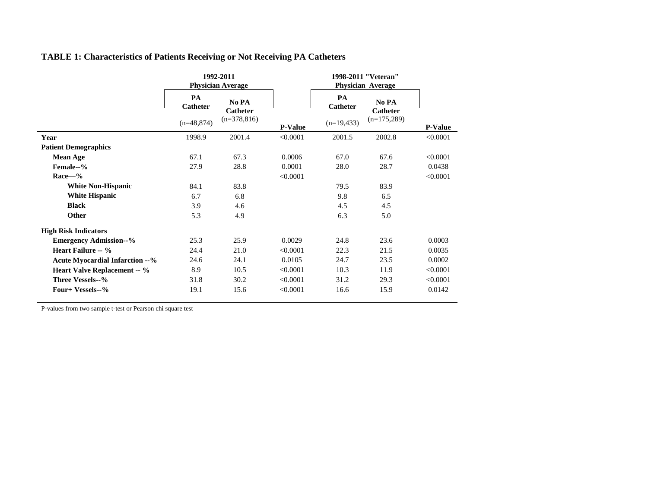|                                        | 1992-2011<br><b>Physician Average</b> |                          |          | 1998-2011 "Veteran"<br><b>Physician Average</b> |                          |                |
|----------------------------------------|---------------------------------------|--------------------------|----------|-------------------------------------------------|--------------------------|----------------|
|                                        | PA<br><b>Catheter</b>                 | No PA<br><b>Catheter</b> |          | PA<br><b>Catheter</b>                           | No PA<br><b>Catheter</b> |                |
|                                        | $(n=48,874)$                          | $(n=378,816)$            |          | $(n=19,433)$                                    | $(n=175,289)$            | <b>P-Value</b> |
| Year                                   | 1998.9                                | 2001.4                   | < 0.0001 | 2001.5                                          | 2002.8                   | < 0.0001       |
| <b>Patient Demographics</b>            |                                       |                          |          |                                                 |                          |                |
| <b>Mean Age</b>                        | 67.1                                  | 67.3                     | 0.0006   | 67.0                                            | 67.6                     | < 0.0001       |
| Female--%                              | 27.9                                  | 28.8                     | 0.0001   | 28.0                                            | 28.7                     | 0.0438         |
| $Race - %$                             |                                       |                          | < 0.0001 |                                                 |                          | < 0.0001       |
| <b>White Non-Hispanic</b>              | 84.1                                  | 83.8                     |          | 79.5                                            | 83.9                     |                |
| <b>White Hispanic</b>                  | 6.7                                   | 6.8                      |          | 9.8                                             | 6.5                      |                |
| <b>Black</b>                           | 3.9                                   | 4.6                      |          | 4.5                                             | 4.5                      |                |
| Other                                  | 5.3                                   | 4.9                      |          | 6.3                                             | 5.0                      |                |
| <b>High Risk Indicators</b>            |                                       |                          |          |                                                 |                          |                |
| <b>Emergency Admission--%</b>          | 25.3                                  | 25.9                     | 0.0029   | 24.8                                            | 23.6                     | 0.0003         |
| Heart Failure -- %                     | 24.4                                  | 21.0                     | < 0.0001 | 22.3                                            | 21.5                     | 0.0035         |
| <b>Acute Myocardial Infarction --%</b> | 24.6                                  | 24.1                     | 0.0105   | 24.7                                            | 23.5                     | 0.0002         |
| <b>Heart Valve Replacement -- %</b>    | 8.9                                   | 10.5                     | < 0.0001 | 10.3                                            | 11.9                     | < 0.0001       |
| Three Vessels--%                       | 31.8                                  | 30.2                     | < 0.0001 | 31.2                                            | 29.3                     | < 0.0001       |
| Four+ Vessels--%                       | 19.1                                  | 15.6                     | < 0.0001 | 16.6                                            | 15.9                     | 0.0142         |

## **TABLE 1: Characteristics of Patients Receiving or Not Receiving PA Catheters**

P-values from two sample t-test or Pearson chi square test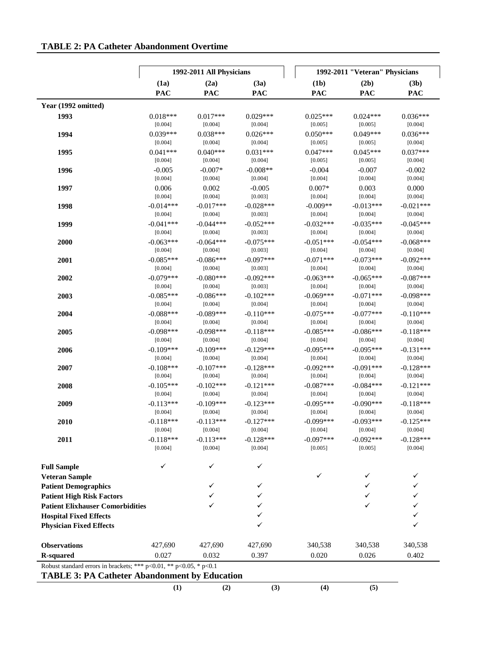|                                                                                                                            |             | 1992-2011 All Physicians |             |             | 1992-2011 "Veteran" Physicians |             |
|----------------------------------------------------------------------------------------------------------------------------|-------------|--------------------------|-------------|-------------|--------------------------------|-------------|
|                                                                                                                            | (1a)        | (2a)                     | (3a)        | (1b)        | (2b)                           | (3b)        |
|                                                                                                                            | PAC         | <b>PAC</b>               | <b>PAC</b>  | <b>PAC</b>  | PAC                            | <b>PAC</b>  |
| Year (1992 omitted)                                                                                                        |             |                          |             |             |                                |             |
| 1993                                                                                                                       | $0.018***$  | $0.017***$               | $0.029***$  | $0.025***$  | $0.024***$                     | $0.036***$  |
|                                                                                                                            | [0.004]     | [0.004]                  | [0.004]     | [0.005]     | [0.005]                        | [0.004]     |
| 1994                                                                                                                       | $0.039***$  | $0.038***$               | $0.026***$  | $0.050***$  | $0.049***$                     | $0.036***$  |
|                                                                                                                            | [0.004]     | [0.004]                  | [0.004]     | [0.005]     | [0.005]                        | [0.004]     |
| 1995                                                                                                                       | $0.041***$  | $0.040***$               | $0.031***$  | $0.047***$  | $0.045***$                     | $0.037***$  |
|                                                                                                                            | [0.004]     | [0.004]                  | [0.004]     | [0.005]     | [0.005]                        | [0.004]     |
| 1996                                                                                                                       | $-0.005$    | $-0.007*$                | $-0.008**$  | $-0.004$    | $-0.007$                       | $-0.002$    |
|                                                                                                                            | [0.004]     | [0.004]                  | [0.004]     | [0.004]     | [0.004]                        | [0.004]     |
| 1997                                                                                                                       | 0.006       | 0.002                    | $-0.005$    | $0.007*$    | 0.003                          | 0.000       |
|                                                                                                                            | [0.004]     | [0.004]                  | [0.003]     | [0.004]     | [0.004]                        | [0.004]     |
| 1998                                                                                                                       | $-0.014***$ | $-0.017***$              | $-0.028***$ | $-0.009**$  | $-0.013***$                    | $-0.021***$ |
|                                                                                                                            | [0.004]     | [0.004]                  | [0.003]     | [0.004]     | [0.004]                        | [0.004]     |
| 1999                                                                                                                       | $-0.041***$ | $-0.044***$              | $-0.052***$ | $-0.032***$ | $-0.035***$                    | $-0.045***$ |
|                                                                                                                            | [0.004]     | [0.004]                  | [0.003]     | [0.004]     | [0.004]                        | [0.004]     |
| 2000                                                                                                                       | $-0.063***$ | $-0.064***$              | $-0.075***$ | $-0.051***$ | $-0.054***$                    | $-0.068***$ |
|                                                                                                                            | [0.004]     | [0.004]                  | [0.003]     | [0.004]     | [0.004]                        | [0.004]     |
| 2001                                                                                                                       | $-0.085***$ | $-0.086***$              | $-0.097***$ | $-0.071***$ | $-0.073***$                    | $-0.092***$ |
|                                                                                                                            | [0.004]     | [0.004]                  | [0.003]     | [0.004]     | [0.004]                        | [0.004]     |
| 2002                                                                                                                       | $-0.079***$ | $-0.080***$              | $-0.092***$ | $-0.063***$ | $-0.065***$                    | $-0.087***$ |
|                                                                                                                            | [0.004]     | [0.004]                  | [0.003]     | [0.004]     | [0.004]                        | [0.004]     |
| 2003                                                                                                                       | $-0.085***$ | $-0.086***$              | $-0.102***$ | $-0.069***$ | $-0.071***$                    | $-0.098***$ |
|                                                                                                                            | [0.004]     | [0.004]                  | [0.004]     | [0.004]     | [0.004]                        | [0.004]     |
| 2004                                                                                                                       | $-0.088***$ | $-0.089***$              | $-0.110***$ | $-0.075***$ | $-0.077***$                    | $-0.110***$ |
|                                                                                                                            | [0.004]     | [0.004]                  | [0.004]     | [0.004]     | [0.004]                        | [0.004]     |
| 2005                                                                                                                       | $-0.098***$ | $-0.098***$              | $-0.118***$ | $-0.085***$ | $-0.086***$                    | $-0.118***$ |
|                                                                                                                            | [0.004]     | [0.004]                  | [0.004]     | [0.004]     | [0.004]                        | [0.004]     |
| 2006                                                                                                                       | $-0.109***$ | $-0.109***$              | $-0.129***$ | $-0.095***$ | $-0.095***$                    | $-0.131***$ |
|                                                                                                                            | [0.004]     | [0.004]                  | [0.004]     | [0.004]     | [0.004]                        | [0.004]     |
| 2007                                                                                                                       | $-0.108***$ | $-0.107***$              | $-0.128***$ | $-0.092***$ | $-0.091***$                    | $-0.128***$ |
|                                                                                                                            | [0.004]     | [0.004]                  | [0.004]     | [0.004]     | [0.004]                        | [0.004]     |
| 2008                                                                                                                       | $-0.105***$ | $-0.102***$              | $-0.121***$ | $-0.087***$ | $-0.084***$                    | $-0.121***$ |
|                                                                                                                            | [0.004]     | [0.004]                  | [0.004]     | [0.004]     | [0.004]                        | [0.004]     |
| 2009                                                                                                                       | $-0.113***$ | $-0.109***$              | $-0.123***$ | $-0.095***$ | $-0.090***$                    | $-0.118***$ |
|                                                                                                                            | [0.004]     | [0.004]                  | [0.004]     | [0.004]     | [0.004]                        | [0.004]     |
| 2010                                                                                                                       | $-0.118***$ | $-0.113***$              | $-0.127***$ | $-0.099***$ | $-0.093***$                    | $-0.125***$ |
|                                                                                                                            | [0.004]     | [0.004]                  | [0.004]     | [0.004]     | [0.004]                        | [0.004]     |
| 2011                                                                                                                       | $-0.118***$ | $-0.113***$              | $-0.128***$ | $-0.097***$ | $-0.092***$                    | $-0.128***$ |
|                                                                                                                            | [0.004]     | [0.004]                  | [0.004]     | [0.005]     | [0.005]                        | [0.004]     |
| <b>Full Sample</b>                                                                                                         | ✓           | ✓                        | ✓           | ✓           | ✓                              |             |
| <b>Veteran Sample</b>                                                                                                      |             | ✓                        | ✓           |             |                                | ✓           |
| <b>Patient Demographics</b><br><b>Patient High Risk Factors</b>                                                            |             |                          |             |             | ✓                              |             |
| <b>Patient Elixhauser Comorbidities</b>                                                                                    |             |                          | ✓           |             |                                |             |
| <b>Hospital Fixed Effects</b>                                                                                              |             |                          | ✓           |             |                                |             |
| <b>Physician Fixed Effects</b>                                                                                             |             |                          | ✓           |             |                                | ✓           |
| <b>Observations</b>                                                                                                        | 427,690     | 427,690                  | 427,690     | 340,538     | 340,538                        | 340,538     |
| <b>R-squared</b>                                                                                                           | 0.027       | 0.032                    | 0.397       | 0.020       | 0.026                          | 0.402       |
| Robust standard errors in brackets; *** p<0.01, ** p<0.05, * p<0.1<br><b>TABLE 3: PA Catheter Abandonment by Education</b> |             |                          |             |             |                                |             |
|                                                                                                                            | (1)         | (2)                      | (3)         | (4)         | (5)                            |             |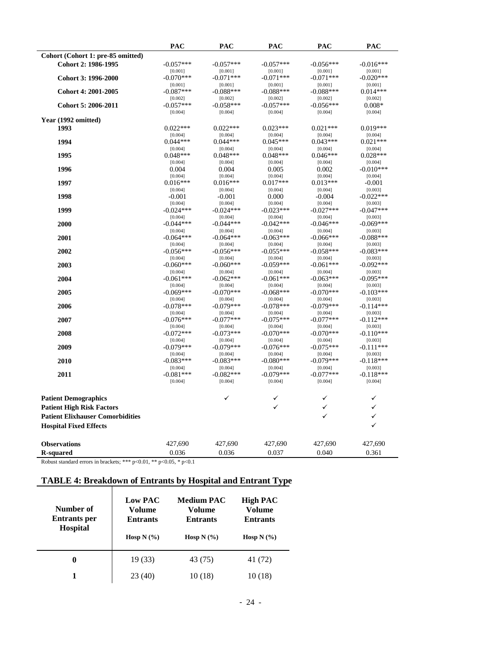| Cohort (Cohort 1: pre-85 omitted)<br>$-0.057***$<br>$-0.057***$<br>$-0.057***$<br>$-0.056***$<br>$-0.016***$<br>Cohort 2: 1986-1995<br>[0.001]<br>[0.001]<br>[0.001]<br>[0.001]<br>[0.001]<br>Cohort 3: 1996-2000<br>$-0.070***$<br>$-0.071***$<br>$-0.071***$<br>$-0.071***$<br>$-0.020***$<br>[0.001]<br>[0.001]<br>[0.001]<br>[0.001]<br>[0.001]<br>$-0.087***$<br>$-0.088***$<br>$-0.088***$<br>$-0.088***$<br>$0.014***$<br>Cohort 4: 2001-2005<br>[0.002]<br>[0.002]<br>[0.002]<br>[0.002]<br>[0.002]<br>Cohort 5: 2006-2011<br>$-0.057***$<br>$-0.057***$<br>$-0.058***$<br>$-0.056***$<br>$0.008*$<br>[0.004]<br>[0.004]<br>[0.004]<br>[0.004]<br>[0.004]<br>Year (1992 omitted)<br>1993<br>$0.022***$<br>$0.022***$<br>$0.023***$<br>$0.021***$<br>$0.019***$<br>[0.004]<br>[0.004]<br>[0.004]<br>[0.004]<br>[0.004]<br>1994<br>$0.044***$<br>$0.045***$<br>$0.021***$<br>$0.044***$<br>$0.043***$<br>[0.004]<br>[0.004]<br>[0.004]<br>[0.004]<br>[0.004]<br>1995<br>$0.048***$<br>$0.048***$<br>$0.028***$<br>$0.048***$<br>$0.046***$<br>[0.004]<br>[0.004]<br>[0.004]<br>[0.004]<br>[0.004]<br>1996<br>0.004<br>0.004<br>0.005<br>0.002<br>$-0.010***$<br>[0.004]<br>[0.004]<br>[0.004]<br>[0.004]<br>[0.004]<br>1997<br>$0.016***$<br>$0.016***$<br>$0.017***$<br>$0.013***$<br>$-0.001$<br>[0.004]<br>[0.004]<br>[0.004]<br>[0.004]<br>[0.003]<br>1998<br>$-0.001$<br>$-0.001$<br>0.000<br>$-0.004$<br>$-0.022***$<br>[0.004]<br>[0.004]<br>[0.004]<br>[0.004]<br>[0.003]<br>1999<br>$-0.024***$<br>$-0.024***$<br>$-0.023***$<br>$-0.027***$<br>$-0.047***$<br>[0.004]<br>[0.004]<br>[0.004]<br>[0.004]<br>[0.003]<br>2000<br>$-0.044***$<br>$-0.044***$<br>$-0.042***$<br>$-0.069***$<br>$-0.046***$<br>[0.004]<br>[0.004]<br>[0.004]<br>[0.004]<br>[0.003]<br>2001<br>$-0.064***$<br>$-0.064***$<br>$-0.063***$<br>$-0.066***$<br>$-0.088***$<br>[0.004]<br>[0.004]<br>[0.004]<br>[0.004]<br>[0.003]<br>2002<br>$-0.056***$<br>$-0.056***$<br>$-0.055***$<br>$-0.058***$<br>$-0.083***$<br>[0.004]<br>[0.004]<br>[0.004]<br>[0.003]<br>[0.004]<br>2003<br>$-0.060***$<br>$-0.060***$<br>$-0.059***$<br>$-0.061***$<br>$-0.092***$<br>[0.004]<br>[0.004]<br>[0.004]<br>[0.004]<br>[0.003]<br>2004<br>$-0.061***$<br>$-0.062***$<br>$-0.061***$<br>$-0.063***$<br>$-0.095***$<br>[0.004]<br>[0.004]<br>[0.004]<br>[0.004]<br>[0.003]<br>2005<br>$-0.069***$<br>$-0.070***$<br>$-0.068***$<br>$-0.070***$<br>$-0.103***$<br>[0.004]<br>[0.004]<br>[0.004]<br>[0.004]<br>[0.003]<br>2006<br>$-0.078***$<br>$-0.079***$<br>$-0.078***$<br>$-0.079***$<br>$-0.114***$<br>[0.004]<br>[0.004]<br>[0.004]<br>[0.004]<br>[0.003]<br>2007<br>$-0.076***$<br>$-0.077***$<br>$-0.075***$<br>$-0.077***$<br>$-0.112***$<br>[0.004]<br>[0.004]<br>[0.004]<br>[0.004]<br>[0.003]<br>2008<br>$-0.072***$<br>$-0.070***$<br>$-0.073***$<br>$-0.070***$<br>$-0.110***$<br>[0.004]<br>[0.004]<br>[0.004]<br>[0.004]<br>[0.003]<br>$-0.079***$<br>$-0.079***$<br>$-0.111***$<br>2009<br>$-0.076***$<br>$-0.075***$<br>[0.004]<br>[0.004]<br>[0.004]<br>[0.004]<br>[0.003]<br>2010<br>$-0.083***$<br>$-0.083***$<br>$-0.080***$<br>$-0.079***$<br>$-0.118***$<br>[0.004]<br>[0.004]<br>[0.003]<br>[0.004]<br>[0.004]<br>2011<br>$-0.081***$<br>$-0.082***$<br>$-0.079***$<br>$-0.077***$<br>$-0.118***$<br>[0.004]<br>[0.004]<br>[0.004]<br>[0.004]<br>[0.004]<br>✓<br>✓<br><b>Patient Demographics</b><br>✓<br>✓<br>✓<br>✓<br><b>Patient High Risk Factors</b><br>✓<br>✓<br><b>Patient Elixhauser Comorbidities</b><br>$\checkmark$<br><b>Hospital Fixed Effects</b><br>427,690<br>427,690<br>427,690<br>427,690<br>427,690<br><b>Observations</b><br>0.040<br>0.361<br>0.036<br>0.036<br>0.037<br><b>R-squared</b> | <b>PAC</b> | <b>PAC</b> | <b>PAC</b> | <b>PAC</b> | <b>PAC</b> |
|-----------------------------------------------------------------------------------------------------------------------------------------------------------------------------------------------------------------------------------------------------------------------------------------------------------------------------------------------------------------------------------------------------------------------------------------------------------------------------------------------------------------------------------------------------------------------------------------------------------------------------------------------------------------------------------------------------------------------------------------------------------------------------------------------------------------------------------------------------------------------------------------------------------------------------------------------------------------------------------------------------------------------------------------------------------------------------------------------------------------------------------------------------------------------------------------------------------------------------------------------------------------------------------------------------------------------------------------------------------------------------------------------------------------------------------------------------------------------------------------------------------------------------------------------------------------------------------------------------------------------------------------------------------------------------------------------------------------------------------------------------------------------------------------------------------------------------------------------------------------------------------------------------------------------------------------------------------------------------------------------------------------------------------------------------------------------------------------------------------------------------------------------------------------------------------------------------------------------------------------------------------------------------------------------------------------------------------------------------------------------------------------------------------------------------------------------------------------------------------------------------------------------------------------------------------------------------------------------------------------------------------------------------------------------------------------------------------------------------------------------------------------------------------------------------------------------------------------------------------------------------------------------------------------------------------------------------------------------------------------------------------------------------------------------------------------------------------------------------------------------------------------------------------------------------------------------------------------------------------------------------------------------------------------------------------------------------------------------------------------------------------------------------------------------------------------------------------------------------------------------------------------------------------------------------------------------------------------------------------------------------------------------------------------------------------------------------------------|------------|------------|------------|------------|------------|
|                                                                                                                                                                                                                                                                                                                                                                                                                                                                                                                                                                                                                                                                                                                                                                                                                                                                                                                                                                                                                                                                                                                                                                                                                                                                                                                                                                                                                                                                                                                                                                                                                                                                                                                                                                                                                                                                                                                                                                                                                                                                                                                                                                                                                                                                                                                                                                                                                                                                                                                                                                                                                                                                                                                                                                                                                                                                                                                                                                                                                                                                                                                                                                                                                                                                                                                                                                                                                                                                                                                                                                                                                                                                                                                 |            |            |            |            |            |
|                                                                                                                                                                                                                                                                                                                                                                                                                                                                                                                                                                                                                                                                                                                                                                                                                                                                                                                                                                                                                                                                                                                                                                                                                                                                                                                                                                                                                                                                                                                                                                                                                                                                                                                                                                                                                                                                                                                                                                                                                                                                                                                                                                                                                                                                                                                                                                                                                                                                                                                                                                                                                                                                                                                                                                                                                                                                                                                                                                                                                                                                                                                                                                                                                                                                                                                                                                                                                                                                                                                                                                                                                                                                                                                 |            |            |            |            |            |
|                                                                                                                                                                                                                                                                                                                                                                                                                                                                                                                                                                                                                                                                                                                                                                                                                                                                                                                                                                                                                                                                                                                                                                                                                                                                                                                                                                                                                                                                                                                                                                                                                                                                                                                                                                                                                                                                                                                                                                                                                                                                                                                                                                                                                                                                                                                                                                                                                                                                                                                                                                                                                                                                                                                                                                                                                                                                                                                                                                                                                                                                                                                                                                                                                                                                                                                                                                                                                                                                                                                                                                                                                                                                                                                 |            |            |            |            |            |
|                                                                                                                                                                                                                                                                                                                                                                                                                                                                                                                                                                                                                                                                                                                                                                                                                                                                                                                                                                                                                                                                                                                                                                                                                                                                                                                                                                                                                                                                                                                                                                                                                                                                                                                                                                                                                                                                                                                                                                                                                                                                                                                                                                                                                                                                                                                                                                                                                                                                                                                                                                                                                                                                                                                                                                                                                                                                                                                                                                                                                                                                                                                                                                                                                                                                                                                                                                                                                                                                                                                                                                                                                                                                                                                 |            |            |            |            |            |
|                                                                                                                                                                                                                                                                                                                                                                                                                                                                                                                                                                                                                                                                                                                                                                                                                                                                                                                                                                                                                                                                                                                                                                                                                                                                                                                                                                                                                                                                                                                                                                                                                                                                                                                                                                                                                                                                                                                                                                                                                                                                                                                                                                                                                                                                                                                                                                                                                                                                                                                                                                                                                                                                                                                                                                                                                                                                                                                                                                                                                                                                                                                                                                                                                                                                                                                                                                                                                                                                                                                                                                                                                                                                                                                 |            |            |            |            |            |
|                                                                                                                                                                                                                                                                                                                                                                                                                                                                                                                                                                                                                                                                                                                                                                                                                                                                                                                                                                                                                                                                                                                                                                                                                                                                                                                                                                                                                                                                                                                                                                                                                                                                                                                                                                                                                                                                                                                                                                                                                                                                                                                                                                                                                                                                                                                                                                                                                                                                                                                                                                                                                                                                                                                                                                                                                                                                                                                                                                                                                                                                                                                                                                                                                                                                                                                                                                                                                                                                                                                                                                                                                                                                                                                 |            |            |            |            |            |
|                                                                                                                                                                                                                                                                                                                                                                                                                                                                                                                                                                                                                                                                                                                                                                                                                                                                                                                                                                                                                                                                                                                                                                                                                                                                                                                                                                                                                                                                                                                                                                                                                                                                                                                                                                                                                                                                                                                                                                                                                                                                                                                                                                                                                                                                                                                                                                                                                                                                                                                                                                                                                                                                                                                                                                                                                                                                                                                                                                                                                                                                                                                                                                                                                                                                                                                                                                                                                                                                                                                                                                                                                                                                                                                 |            |            |            |            |            |
|                                                                                                                                                                                                                                                                                                                                                                                                                                                                                                                                                                                                                                                                                                                                                                                                                                                                                                                                                                                                                                                                                                                                                                                                                                                                                                                                                                                                                                                                                                                                                                                                                                                                                                                                                                                                                                                                                                                                                                                                                                                                                                                                                                                                                                                                                                                                                                                                                                                                                                                                                                                                                                                                                                                                                                                                                                                                                                                                                                                                                                                                                                                                                                                                                                                                                                                                                                                                                                                                                                                                                                                                                                                                                                                 |            |            |            |            |            |
|                                                                                                                                                                                                                                                                                                                                                                                                                                                                                                                                                                                                                                                                                                                                                                                                                                                                                                                                                                                                                                                                                                                                                                                                                                                                                                                                                                                                                                                                                                                                                                                                                                                                                                                                                                                                                                                                                                                                                                                                                                                                                                                                                                                                                                                                                                                                                                                                                                                                                                                                                                                                                                                                                                                                                                                                                                                                                                                                                                                                                                                                                                                                                                                                                                                                                                                                                                                                                                                                                                                                                                                                                                                                                                                 |            |            |            |            |            |
|                                                                                                                                                                                                                                                                                                                                                                                                                                                                                                                                                                                                                                                                                                                                                                                                                                                                                                                                                                                                                                                                                                                                                                                                                                                                                                                                                                                                                                                                                                                                                                                                                                                                                                                                                                                                                                                                                                                                                                                                                                                                                                                                                                                                                                                                                                                                                                                                                                                                                                                                                                                                                                                                                                                                                                                                                                                                                                                                                                                                                                                                                                                                                                                                                                                                                                                                                                                                                                                                                                                                                                                                                                                                                                                 |            |            |            |            |            |
|                                                                                                                                                                                                                                                                                                                                                                                                                                                                                                                                                                                                                                                                                                                                                                                                                                                                                                                                                                                                                                                                                                                                                                                                                                                                                                                                                                                                                                                                                                                                                                                                                                                                                                                                                                                                                                                                                                                                                                                                                                                                                                                                                                                                                                                                                                                                                                                                                                                                                                                                                                                                                                                                                                                                                                                                                                                                                                                                                                                                                                                                                                                                                                                                                                                                                                                                                                                                                                                                                                                                                                                                                                                                                                                 |            |            |            |            |            |
|                                                                                                                                                                                                                                                                                                                                                                                                                                                                                                                                                                                                                                                                                                                                                                                                                                                                                                                                                                                                                                                                                                                                                                                                                                                                                                                                                                                                                                                                                                                                                                                                                                                                                                                                                                                                                                                                                                                                                                                                                                                                                                                                                                                                                                                                                                                                                                                                                                                                                                                                                                                                                                                                                                                                                                                                                                                                                                                                                                                                                                                                                                                                                                                                                                                                                                                                                                                                                                                                                                                                                                                                                                                                                                                 |            |            |            |            |            |
|                                                                                                                                                                                                                                                                                                                                                                                                                                                                                                                                                                                                                                                                                                                                                                                                                                                                                                                                                                                                                                                                                                                                                                                                                                                                                                                                                                                                                                                                                                                                                                                                                                                                                                                                                                                                                                                                                                                                                                                                                                                                                                                                                                                                                                                                                                                                                                                                                                                                                                                                                                                                                                                                                                                                                                                                                                                                                                                                                                                                                                                                                                                                                                                                                                                                                                                                                                                                                                                                                                                                                                                                                                                                                                                 |            |            |            |            |            |
|                                                                                                                                                                                                                                                                                                                                                                                                                                                                                                                                                                                                                                                                                                                                                                                                                                                                                                                                                                                                                                                                                                                                                                                                                                                                                                                                                                                                                                                                                                                                                                                                                                                                                                                                                                                                                                                                                                                                                                                                                                                                                                                                                                                                                                                                                                                                                                                                                                                                                                                                                                                                                                                                                                                                                                                                                                                                                                                                                                                                                                                                                                                                                                                                                                                                                                                                                                                                                                                                                                                                                                                                                                                                                                                 |            |            |            |            |            |
|                                                                                                                                                                                                                                                                                                                                                                                                                                                                                                                                                                                                                                                                                                                                                                                                                                                                                                                                                                                                                                                                                                                                                                                                                                                                                                                                                                                                                                                                                                                                                                                                                                                                                                                                                                                                                                                                                                                                                                                                                                                                                                                                                                                                                                                                                                                                                                                                                                                                                                                                                                                                                                                                                                                                                                                                                                                                                                                                                                                                                                                                                                                                                                                                                                                                                                                                                                                                                                                                                                                                                                                                                                                                                                                 |            |            |            |            |            |
|                                                                                                                                                                                                                                                                                                                                                                                                                                                                                                                                                                                                                                                                                                                                                                                                                                                                                                                                                                                                                                                                                                                                                                                                                                                                                                                                                                                                                                                                                                                                                                                                                                                                                                                                                                                                                                                                                                                                                                                                                                                                                                                                                                                                                                                                                                                                                                                                                                                                                                                                                                                                                                                                                                                                                                                                                                                                                                                                                                                                                                                                                                                                                                                                                                                                                                                                                                                                                                                                                                                                                                                                                                                                                                                 |            |            |            |            |            |
|                                                                                                                                                                                                                                                                                                                                                                                                                                                                                                                                                                                                                                                                                                                                                                                                                                                                                                                                                                                                                                                                                                                                                                                                                                                                                                                                                                                                                                                                                                                                                                                                                                                                                                                                                                                                                                                                                                                                                                                                                                                                                                                                                                                                                                                                                                                                                                                                                                                                                                                                                                                                                                                                                                                                                                                                                                                                                                                                                                                                                                                                                                                                                                                                                                                                                                                                                                                                                                                                                                                                                                                                                                                                                                                 |            |            |            |            |            |
|                                                                                                                                                                                                                                                                                                                                                                                                                                                                                                                                                                                                                                                                                                                                                                                                                                                                                                                                                                                                                                                                                                                                                                                                                                                                                                                                                                                                                                                                                                                                                                                                                                                                                                                                                                                                                                                                                                                                                                                                                                                                                                                                                                                                                                                                                                                                                                                                                                                                                                                                                                                                                                                                                                                                                                                                                                                                                                                                                                                                                                                                                                                                                                                                                                                                                                                                                                                                                                                                                                                                                                                                                                                                                                                 |            |            |            |            |            |
|                                                                                                                                                                                                                                                                                                                                                                                                                                                                                                                                                                                                                                                                                                                                                                                                                                                                                                                                                                                                                                                                                                                                                                                                                                                                                                                                                                                                                                                                                                                                                                                                                                                                                                                                                                                                                                                                                                                                                                                                                                                                                                                                                                                                                                                                                                                                                                                                                                                                                                                                                                                                                                                                                                                                                                                                                                                                                                                                                                                                                                                                                                                                                                                                                                                                                                                                                                                                                                                                                                                                                                                                                                                                                                                 |            |            |            |            |            |
|                                                                                                                                                                                                                                                                                                                                                                                                                                                                                                                                                                                                                                                                                                                                                                                                                                                                                                                                                                                                                                                                                                                                                                                                                                                                                                                                                                                                                                                                                                                                                                                                                                                                                                                                                                                                                                                                                                                                                                                                                                                                                                                                                                                                                                                                                                                                                                                                                                                                                                                                                                                                                                                                                                                                                                                                                                                                                                                                                                                                                                                                                                                                                                                                                                                                                                                                                                                                                                                                                                                                                                                                                                                                                                                 |            |            |            |            |            |
|                                                                                                                                                                                                                                                                                                                                                                                                                                                                                                                                                                                                                                                                                                                                                                                                                                                                                                                                                                                                                                                                                                                                                                                                                                                                                                                                                                                                                                                                                                                                                                                                                                                                                                                                                                                                                                                                                                                                                                                                                                                                                                                                                                                                                                                                                                                                                                                                                                                                                                                                                                                                                                                                                                                                                                                                                                                                                                                                                                                                                                                                                                                                                                                                                                                                                                                                                                                                                                                                                                                                                                                                                                                                                                                 |            |            |            |            |            |
|                                                                                                                                                                                                                                                                                                                                                                                                                                                                                                                                                                                                                                                                                                                                                                                                                                                                                                                                                                                                                                                                                                                                                                                                                                                                                                                                                                                                                                                                                                                                                                                                                                                                                                                                                                                                                                                                                                                                                                                                                                                                                                                                                                                                                                                                                                                                                                                                                                                                                                                                                                                                                                                                                                                                                                                                                                                                                                                                                                                                                                                                                                                                                                                                                                                                                                                                                                                                                                                                                                                                                                                                                                                                                                                 |            |            |            |            |            |
|                                                                                                                                                                                                                                                                                                                                                                                                                                                                                                                                                                                                                                                                                                                                                                                                                                                                                                                                                                                                                                                                                                                                                                                                                                                                                                                                                                                                                                                                                                                                                                                                                                                                                                                                                                                                                                                                                                                                                                                                                                                                                                                                                                                                                                                                                                                                                                                                                                                                                                                                                                                                                                                                                                                                                                                                                                                                                                                                                                                                                                                                                                                                                                                                                                                                                                                                                                                                                                                                                                                                                                                                                                                                                                                 |            |            |            |            |            |
|                                                                                                                                                                                                                                                                                                                                                                                                                                                                                                                                                                                                                                                                                                                                                                                                                                                                                                                                                                                                                                                                                                                                                                                                                                                                                                                                                                                                                                                                                                                                                                                                                                                                                                                                                                                                                                                                                                                                                                                                                                                                                                                                                                                                                                                                                                                                                                                                                                                                                                                                                                                                                                                                                                                                                                                                                                                                                                                                                                                                                                                                                                                                                                                                                                                                                                                                                                                                                                                                                                                                                                                                                                                                                                                 |            |            |            |            |            |
|                                                                                                                                                                                                                                                                                                                                                                                                                                                                                                                                                                                                                                                                                                                                                                                                                                                                                                                                                                                                                                                                                                                                                                                                                                                                                                                                                                                                                                                                                                                                                                                                                                                                                                                                                                                                                                                                                                                                                                                                                                                                                                                                                                                                                                                                                                                                                                                                                                                                                                                                                                                                                                                                                                                                                                                                                                                                                                                                                                                                                                                                                                                                                                                                                                                                                                                                                                                                                                                                                                                                                                                                                                                                                                                 |            |            |            |            |            |
|                                                                                                                                                                                                                                                                                                                                                                                                                                                                                                                                                                                                                                                                                                                                                                                                                                                                                                                                                                                                                                                                                                                                                                                                                                                                                                                                                                                                                                                                                                                                                                                                                                                                                                                                                                                                                                                                                                                                                                                                                                                                                                                                                                                                                                                                                                                                                                                                                                                                                                                                                                                                                                                                                                                                                                                                                                                                                                                                                                                                                                                                                                                                                                                                                                                                                                                                                                                                                                                                                                                                                                                                                                                                                                                 |            |            |            |            |            |
|                                                                                                                                                                                                                                                                                                                                                                                                                                                                                                                                                                                                                                                                                                                                                                                                                                                                                                                                                                                                                                                                                                                                                                                                                                                                                                                                                                                                                                                                                                                                                                                                                                                                                                                                                                                                                                                                                                                                                                                                                                                                                                                                                                                                                                                                                                                                                                                                                                                                                                                                                                                                                                                                                                                                                                                                                                                                                                                                                                                                                                                                                                                                                                                                                                                                                                                                                                                                                                                                                                                                                                                                                                                                                                                 |            |            |            |            |            |
|                                                                                                                                                                                                                                                                                                                                                                                                                                                                                                                                                                                                                                                                                                                                                                                                                                                                                                                                                                                                                                                                                                                                                                                                                                                                                                                                                                                                                                                                                                                                                                                                                                                                                                                                                                                                                                                                                                                                                                                                                                                                                                                                                                                                                                                                                                                                                                                                                                                                                                                                                                                                                                                                                                                                                                                                                                                                                                                                                                                                                                                                                                                                                                                                                                                                                                                                                                                                                                                                                                                                                                                                                                                                                                                 |            |            |            |            |            |
|                                                                                                                                                                                                                                                                                                                                                                                                                                                                                                                                                                                                                                                                                                                                                                                                                                                                                                                                                                                                                                                                                                                                                                                                                                                                                                                                                                                                                                                                                                                                                                                                                                                                                                                                                                                                                                                                                                                                                                                                                                                                                                                                                                                                                                                                                                                                                                                                                                                                                                                                                                                                                                                                                                                                                                                                                                                                                                                                                                                                                                                                                                                                                                                                                                                                                                                                                                                                                                                                                                                                                                                                                                                                                                                 |            |            |            |            |            |
|                                                                                                                                                                                                                                                                                                                                                                                                                                                                                                                                                                                                                                                                                                                                                                                                                                                                                                                                                                                                                                                                                                                                                                                                                                                                                                                                                                                                                                                                                                                                                                                                                                                                                                                                                                                                                                                                                                                                                                                                                                                                                                                                                                                                                                                                                                                                                                                                                                                                                                                                                                                                                                                                                                                                                                                                                                                                                                                                                                                                                                                                                                                                                                                                                                                                                                                                                                                                                                                                                                                                                                                                                                                                                                                 |            |            |            |            |            |
|                                                                                                                                                                                                                                                                                                                                                                                                                                                                                                                                                                                                                                                                                                                                                                                                                                                                                                                                                                                                                                                                                                                                                                                                                                                                                                                                                                                                                                                                                                                                                                                                                                                                                                                                                                                                                                                                                                                                                                                                                                                                                                                                                                                                                                                                                                                                                                                                                                                                                                                                                                                                                                                                                                                                                                                                                                                                                                                                                                                                                                                                                                                                                                                                                                                                                                                                                                                                                                                                                                                                                                                                                                                                                                                 |            |            |            |            |            |
|                                                                                                                                                                                                                                                                                                                                                                                                                                                                                                                                                                                                                                                                                                                                                                                                                                                                                                                                                                                                                                                                                                                                                                                                                                                                                                                                                                                                                                                                                                                                                                                                                                                                                                                                                                                                                                                                                                                                                                                                                                                                                                                                                                                                                                                                                                                                                                                                                                                                                                                                                                                                                                                                                                                                                                                                                                                                                                                                                                                                                                                                                                                                                                                                                                                                                                                                                                                                                                                                                                                                                                                                                                                                                                                 |            |            |            |            |            |
|                                                                                                                                                                                                                                                                                                                                                                                                                                                                                                                                                                                                                                                                                                                                                                                                                                                                                                                                                                                                                                                                                                                                                                                                                                                                                                                                                                                                                                                                                                                                                                                                                                                                                                                                                                                                                                                                                                                                                                                                                                                                                                                                                                                                                                                                                                                                                                                                                                                                                                                                                                                                                                                                                                                                                                                                                                                                                                                                                                                                                                                                                                                                                                                                                                                                                                                                                                                                                                                                                                                                                                                                                                                                                                                 |            |            |            |            |            |
|                                                                                                                                                                                                                                                                                                                                                                                                                                                                                                                                                                                                                                                                                                                                                                                                                                                                                                                                                                                                                                                                                                                                                                                                                                                                                                                                                                                                                                                                                                                                                                                                                                                                                                                                                                                                                                                                                                                                                                                                                                                                                                                                                                                                                                                                                                                                                                                                                                                                                                                                                                                                                                                                                                                                                                                                                                                                                                                                                                                                                                                                                                                                                                                                                                                                                                                                                                                                                                                                                                                                                                                                                                                                                                                 |            |            |            |            |            |
|                                                                                                                                                                                                                                                                                                                                                                                                                                                                                                                                                                                                                                                                                                                                                                                                                                                                                                                                                                                                                                                                                                                                                                                                                                                                                                                                                                                                                                                                                                                                                                                                                                                                                                                                                                                                                                                                                                                                                                                                                                                                                                                                                                                                                                                                                                                                                                                                                                                                                                                                                                                                                                                                                                                                                                                                                                                                                                                                                                                                                                                                                                                                                                                                                                                                                                                                                                                                                                                                                                                                                                                                                                                                                                                 |            |            |            |            |            |
|                                                                                                                                                                                                                                                                                                                                                                                                                                                                                                                                                                                                                                                                                                                                                                                                                                                                                                                                                                                                                                                                                                                                                                                                                                                                                                                                                                                                                                                                                                                                                                                                                                                                                                                                                                                                                                                                                                                                                                                                                                                                                                                                                                                                                                                                                                                                                                                                                                                                                                                                                                                                                                                                                                                                                                                                                                                                                                                                                                                                                                                                                                                                                                                                                                                                                                                                                                                                                                                                                                                                                                                                                                                                                                                 |            |            |            |            |            |
|                                                                                                                                                                                                                                                                                                                                                                                                                                                                                                                                                                                                                                                                                                                                                                                                                                                                                                                                                                                                                                                                                                                                                                                                                                                                                                                                                                                                                                                                                                                                                                                                                                                                                                                                                                                                                                                                                                                                                                                                                                                                                                                                                                                                                                                                                                                                                                                                                                                                                                                                                                                                                                                                                                                                                                                                                                                                                                                                                                                                                                                                                                                                                                                                                                                                                                                                                                                                                                                                                                                                                                                                                                                                                                                 |            |            |            |            |            |
|                                                                                                                                                                                                                                                                                                                                                                                                                                                                                                                                                                                                                                                                                                                                                                                                                                                                                                                                                                                                                                                                                                                                                                                                                                                                                                                                                                                                                                                                                                                                                                                                                                                                                                                                                                                                                                                                                                                                                                                                                                                                                                                                                                                                                                                                                                                                                                                                                                                                                                                                                                                                                                                                                                                                                                                                                                                                                                                                                                                                                                                                                                                                                                                                                                                                                                                                                                                                                                                                                                                                                                                                                                                                                                                 |            |            |            |            |            |
|                                                                                                                                                                                                                                                                                                                                                                                                                                                                                                                                                                                                                                                                                                                                                                                                                                                                                                                                                                                                                                                                                                                                                                                                                                                                                                                                                                                                                                                                                                                                                                                                                                                                                                                                                                                                                                                                                                                                                                                                                                                                                                                                                                                                                                                                                                                                                                                                                                                                                                                                                                                                                                                                                                                                                                                                                                                                                                                                                                                                                                                                                                                                                                                                                                                                                                                                                                                                                                                                                                                                                                                                                                                                                                                 |            |            |            |            |            |
|                                                                                                                                                                                                                                                                                                                                                                                                                                                                                                                                                                                                                                                                                                                                                                                                                                                                                                                                                                                                                                                                                                                                                                                                                                                                                                                                                                                                                                                                                                                                                                                                                                                                                                                                                                                                                                                                                                                                                                                                                                                                                                                                                                                                                                                                                                                                                                                                                                                                                                                                                                                                                                                                                                                                                                                                                                                                                                                                                                                                                                                                                                                                                                                                                                                                                                                                                                                                                                                                                                                                                                                                                                                                                                                 |            |            |            |            |            |
|                                                                                                                                                                                                                                                                                                                                                                                                                                                                                                                                                                                                                                                                                                                                                                                                                                                                                                                                                                                                                                                                                                                                                                                                                                                                                                                                                                                                                                                                                                                                                                                                                                                                                                                                                                                                                                                                                                                                                                                                                                                                                                                                                                                                                                                                                                                                                                                                                                                                                                                                                                                                                                                                                                                                                                                                                                                                                                                                                                                                                                                                                                                                                                                                                                                                                                                                                                                                                                                                                                                                                                                                                                                                                                                 |            |            |            |            |            |
|                                                                                                                                                                                                                                                                                                                                                                                                                                                                                                                                                                                                                                                                                                                                                                                                                                                                                                                                                                                                                                                                                                                                                                                                                                                                                                                                                                                                                                                                                                                                                                                                                                                                                                                                                                                                                                                                                                                                                                                                                                                                                                                                                                                                                                                                                                                                                                                                                                                                                                                                                                                                                                                                                                                                                                                                                                                                                                                                                                                                                                                                                                                                                                                                                                                                                                                                                                                                                                                                                                                                                                                                                                                                                                                 |            |            |            |            |            |
|                                                                                                                                                                                                                                                                                                                                                                                                                                                                                                                                                                                                                                                                                                                                                                                                                                                                                                                                                                                                                                                                                                                                                                                                                                                                                                                                                                                                                                                                                                                                                                                                                                                                                                                                                                                                                                                                                                                                                                                                                                                                                                                                                                                                                                                                                                                                                                                                                                                                                                                                                                                                                                                                                                                                                                                                                                                                                                                                                                                                                                                                                                                                                                                                                                                                                                                                                                                                                                                                                                                                                                                                                                                                                                                 |            |            |            |            |            |
|                                                                                                                                                                                                                                                                                                                                                                                                                                                                                                                                                                                                                                                                                                                                                                                                                                                                                                                                                                                                                                                                                                                                                                                                                                                                                                                                                                                                                                                                                                                                                                                                                                                                                                                                                                                                                                                                                                                                                                                                                                                                                                                                                                                                                                                                                                                                                                                                                                                                                                                                                                                                                                                                                                                                                                                                                                                                                                                                                                                                                                                                                                                                                                                                                                                                                                                                                                                                                                                                                                                                                                                                                                                                                                                 |            |            |            |            |            |
|                                                                                                                                                                                                                                                                                                                                                                                                                                                                                                                                                                                                                                                                                                                                                                                                                                                                                                                                                                                                                                                                                                                                                                                                                                                                                                                                                                                                                                                                                                                                                                                                                                                                                                                                                                                                                                                                                                                                                                                                                                                                                                                                                                                                                                                                                                                                                                                                                                                                                                                                                                                                                                                                                                                                                                                                                                                                                                                                                                                                                                                                                                                                                                                                                                                                                                                                                                                                                                                                                                                                                                                                                                                                                                                 |            |            |            |            |            |
|                                                                                                                                                                                                                                                                                                                                                                                                                                                                                                                                                                                                                                                                                                                                                                                                                                                                                                                                                                                                                                                                                                                                                                                                                                                                                                                                                                                                                                                                                                                                                                                                                                                                                                                                                                                                                                                                                                                                                                                                                                                                                                                                                                                                                                                                                                                                                                                                                                                                                                                                                                                                                                                                                                                                                                                                                                                                                                                                                                                                                                                                                                                                                                                                                                                                                                                                                                                                                                                                                                                                                                                                                                                                                                                 |            |            |            |            |            |
|                                                                                                                                                                                                                                                                                                                                                                                                                                                                                                                                                                                                                                                                                                                                                                                                                                                                                                                                                                                                                                                                                                                                                                                                                                                                                                                                                                                                                                                                                                                                                                                                                                                                                                                                                                                                                                                                                                                                                                                                                                                                                                                                                                                                                                                                                                                                                                                                                                                                                                                                                                                                                                                                                                                                                                                                                                                                                                                                                                                                                                                                                                                                                                                                                                                                                                                                                                                                                                                                                                                                                                                                                                                                                                                 |            |            |            |            |            |
|                                                                                                                                                                                                                                                                                                                                                                                                                                                                                                                                                                                                                                                                                                                                                                                                                                                                                                                                                                                                                                                                                                                                                                                                                                                                                                                                                                                                                                                                                                                                                                                                                                                                                                                                                                                                                                                                                                                                                                                                                                                                                                                                                                                                                                                                                                                                                                                                                                                                                                                                                                                                                                                                                                                                                                                                                                                                                                                                                                                                                                                                                                                                                                                                                                                                                                                                                                                                                                                                                                                                                                                                                                                                                                                 |            |            |            |            |            |
|                                                                                                                                                                                                                                                                                                                                                                                                                                                                                                                                                                                                                                                                                                                                                                                                                                                                                                                                                                                                                                                                                                                                                                                                                                                                                                                                                                                                                                                                                                                                                                                                                                                                                                                                                                                                                                                                                                                                                                                                                                                                                                                                                                                                                                                                                                                                                                                                                                                                                                                                                                                                                                                                                                                                                                                                                                                                                                                                                                                                                                                                                                                                                                                                                                                                                                                                                                                                                                                                                                                                                                                                                                                                                                                 |            |            |            |            |            |
|                                                                                                                                                                                                                                                                                                                                                                                                                                                                                                                                                                                                                                                                                                                                                                                                                                                                                                                                                                                                                                                                                                                                                                                                                                                                                                                                                                                                                                                                                                                                                                                                                                                                                                                                                                                                                                                                                                                                                                                                                                                                                                                                                                                                                                                                                                                                                                                                                                                                                                                                                                                                                                                                                                                                                                                                                                                                                                                                                                                                                                                                                                                                                                                                                                                                                                                                                                                                                                                                                                                                                                                                                                                                                                                 |            |            |            |            |            |
|                                                                                                                                                                                                                                                                                                                                                                                                                                                                                                                                                                                                                                                                                                                                                                                                                                                                                                                                                                                                                                                                                                                                                                                                                                                                                                                                                                                                                                                                                                                                                                                                                                                                                                                                                                                                                                                                                                                                                                                                                                                                                                                                                                                                                                                                                                                                                                                                                                                                                                                                                                                                                                                                                                                                                                                                                                                                                                                                                                                                                                                                                                                                                                                                                                                                                                                                                                                                                                                                                                                                                                                                                                                                                                                 |            |            |            |            |            |
|                                                                                                                                                                                                                                                                                                                                                                                                                                                                                                                                                                                                                                                                                                                                                                                                                                                                                                                                                                                                                                                                                                                                                                                                                                                                                                                                                                                                                                                                                                                                                                                                                                                                                                                                                                                                                                                                                                                                                                                                                                                                                                                                                                                                                                                                                                                                                                                                                                                                                                                                                                                                                                                                                                                                                                                                                                                                                                                                                                                                                                                                                                                                                                                                                                                                                                                                                                                                                                                                                                                                                                                                                                                                                                                 |            |            |            |            |            |

Robust standard errors in brackets; \*\*\* p<0.01, \*\* p<0.05, \* p<0.1

## **TABLE 4: Breakdown of Entrants by Hospital and Entrant Type**

| Number of<br><b>Entrants per</b><br><b>Hospital</b> | Low PAC<br>Volume<br><b>Entrants</b><br>Hosp N $(%)$ | Medium PAC<br>Volume<br><b>Entrants</b><br>Hosp N $(\% )$ | <b>High PAC</b><br>Volume<br><b>Entrants</b><br>Hosp $N$ $(\% )$ |
|-----------------------------------------------------|------------------------------------------------------|-----------------------------------------------------------|------------------------------------------------------------------|
| 0                                                   | 19 (33)                                              | 43 (75)                                                   | 41 (72)                                                          |
| 1                                                   | 23 (40)                                              | 10(18)                                                    | 10 (18)                                                          |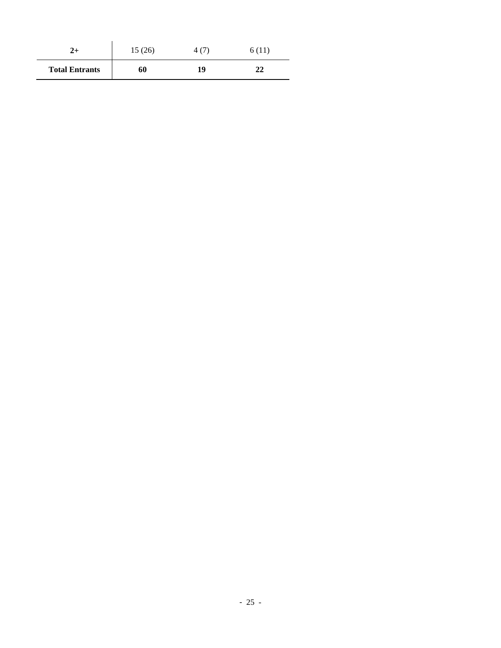| $2+$                  | 15(26) |    | 6 (11) |  |
|-----------------------|--------|----|--------|--|
| <b>Total Entrants</b> | 60     | 19 | າາ     |  |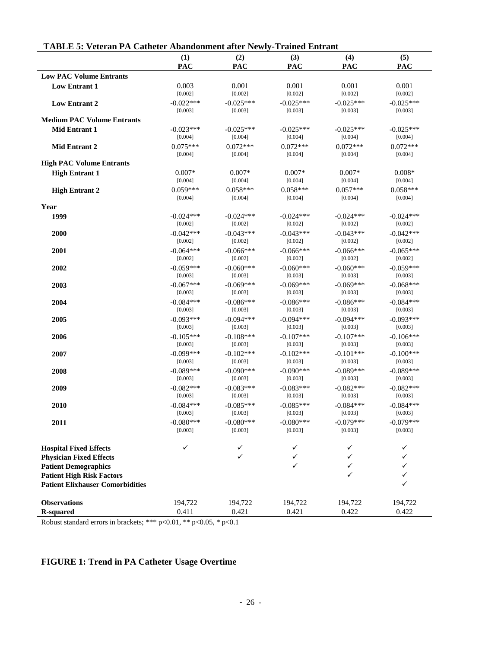|                                         | (1)         | (2)          | (3)          | (4)         | (5)         |
|-----------------------------------------|-------------|--------------|--------------|-------------|-------------|
|                                         | PAC         | <b>PAC</b>   | <b>PAC</b>   | <b>PAC</b>  | PAC         |
| <b>Low PAC Volume Entrants</b>          |             |              |              |             |             |
| <b>Low Entrant 1</b>                    | 0.003       | 0.001        | 0.001        | 0.001       | 0.001       |
|                                         | [0.002]     | [0.002]      | [0.002]      | [0.002]     | [0.002]     |
|                                         |             |              |              | $-0.025***$ |             |
| <b>Low Entrant 2</b>                    | $-0.022***$ | $-0.025***$  | $-0.025***$  |             | $-0.025***$ |
|                                         | [0.003]     | [0.003]      | [0.003]      | [0.003]     | [0.003]     |
| <b>Medium PAC Volume Entrants</b>       |             |              |              |             |             |
| <b>Mid Entrant 1</b>                    | $-0.023***$ | $-0.025***$  | $-0.025***$  | $-0.025***$ | $-0.025***$ |
|                                         | [0.004]     | [0.004]      | [0.004]      | [0.004]     | [0.004]     |
| Mid Entrant 2                           | $0.075***$  | $0.072***$   | $0.072***$   | $0.072***$  | $0.072***$  |
|                                         | [0.004]     | [0.004]      | [0.004]      | [0.004]     | [0.004]     |
| <b>High PAC Volume Entrants</b>         |             |              |              |             |             |
|                                         |             |              |              |             |             |
| <b>High Entrant 1</b>                   | $0.007*$    | $0.007*$     | $0.007*$     | $0.007*$    | $0.008*$    |
|                                         | [0.004]     | [0.004]      | [0.004]      | [0.004]     | [0.004]     |
| <b>High Entrant 2</b>                   | $0.059***$  | $0.058***$   | $0.058***$   | $0.057***$  | $0.058***$  |
|                                         | [0.004]     | [0.004]      | [0.004]      | [0.004]     | [0.004]     |
| Year                                    |             |              |              |             |             |
| 1999                                    | $-0.024***$ | $-0.024***$  | $-0.024***$  | $-0.024***$ | $-0.024***$ |
|                                         | [0.002]     | [0.002]      | [0.002]      | [0.002]     | [0.002]     |
| 2000                                    | $-0.042***$ | $-0.043***$  | $-0.043***$  | $-0.043***$ | $-0.042***$ |
|                                         | [0.002]     | [0.002]      | [0.002]      | [0.002]     | [0.002]     |
|                                         |             |              |              |             |             |
| 2001                                    | $-0.064***$ | $-0.066$ *** | $-0.066$ *** | $-0.066***$ | $-0.065***$ |
|                                         | [0.002]     | [0.002]      | [0.002]      | [0.002]     | [0.002]     |
| 2002                                    | $-0.059***$ | $-0.060***$  | $-0.060***$  | $-0.060***$ | $-0.059***$ |
|                                         | [0.003]     | [0.003]      | [0.003]      | [0.003]     | [0.003]     |
| 2003                                    | $-0.067***$ | $-0.069***$  | $-0.069***$  | $-0.069***$ | $-0.068***$ |
|                                         | [0.003]     | [0.003]      | [0.003]      | [0.003]     | [0.003]     |
| 2004                                    | $-0.084***$ | $-0.086***$  | $-0.086***$  | $-0.086***$ | $-0.084***$ |
|                                         | [0.003]     | [0.003]      | [0.003]      | [0.003]     | [0.003]     |
| 2005                                    | $-0.093***$ | $-0.094***$  | $-0.094***$  | $-0.094***$ | $-0.093***$ |
|                                         | [0.003]     | [0.003]      |              | [0.003]     | [0.003]     |
|                                         |             |              | [0.003]      |             |             |
| 2006                                    | $-0.105***$ | $-0.108***$  | $-0.107***$  | $-0.107***$ | $-0.106***$ |
|                                         | [0.003]     | [0.003]      | [0.003]      | [0.003]     | [0.003]     |
| 2007                                    | $-0.099***$ | $-0.102***$  | $-0.102***$  | $-0.101***$ | $-0.100***$ |
|                                         | [0.003]     | [0.003]      | [0.003]      | [0.003]     | [0.003]     |
| 2008                                    | $-0.089***$ | $-0.090***$  | $-0.090***$  | $-0.089***$ | $-0.089***$ |
|                                         | [0.003]     | [0.003]      | [0.003]      | [0.003]     | [0.003]     |
| 2009                                    | $-0.082***$ | $-0.083***$  | $-0.083***$  | $-0.082***$ | $-0.082***$ |
|                                         | [0.003]     | [0.003]      | [0.003]      | [0.003]     | [0.003]     |
| 2010                                    | $-0.084***$ | $-0.085***$  | $-0.085***$  | $-0.084***$ | $-0.084***$ |
|                                         | [0.003]     |              |              | [0.003]     | [0.003]     |
|                                         |             | [0.003]      | [0.003]      |             |             |
| 2011                                    | $-0.080***$ | $-0.080***$  | $-0.080***$  | $-0.079***$ | $-0.079***$ |
|                                         | [0.003]     | [0.003]      | [0.003]      | [0.003]     | [0.003]     |
|                                         |             |              |              |             |             |
| <b>Hospital Fixed Effects</b>           | ✓           | ✓            | ✓            | ✓           | ✓           |
| <b>Physician Fixed Effects</b>          |             | ✓            | ✓            | ✓           |             |
| <b>Patient Demographics</b>             |             |              | $\checkmark$ | ✓           |             |
| <b>Patient High Risk Factors</b>        |             |              |              | ✓           |             |
|                                         |             |              |              |             |             |
| <b>Patient Elixhauser Comorbidities</b> |             |              |              |             |             |
|                                         |             |              |              |             |             |
| <b>Observations</b>                     | 194,722     | 194,722      | 194,722      | 194,722     | 194,722     |
| <b>R-squared</b>                        | 0.411       | 0.421        | 0.421        | 0.422       | 0.422       |

## **TABLE 5: Veteran PA Catheter Abandonment after Newly-Trained Entrant**

Robust standard errors in brackets; \*\*\* p<0.01, \*\* p<0.05, \* p<0.1

## **FIGURE 1: Trend in PA Catheter Usage Overtime**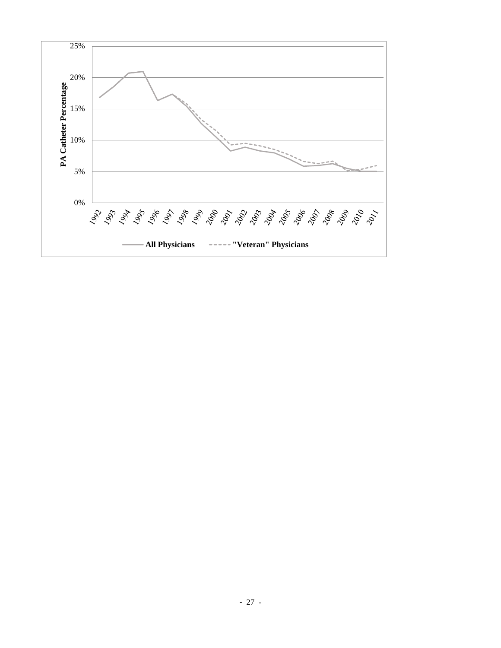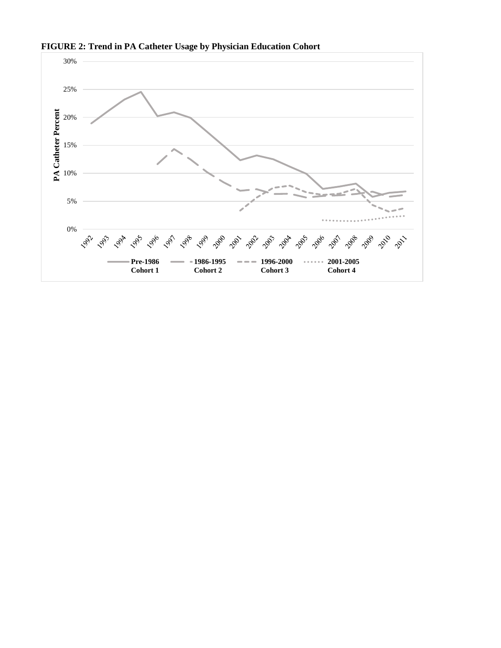

**FIGURE 2: Trend in PA Catheter Usage by Physician Education Cohort**